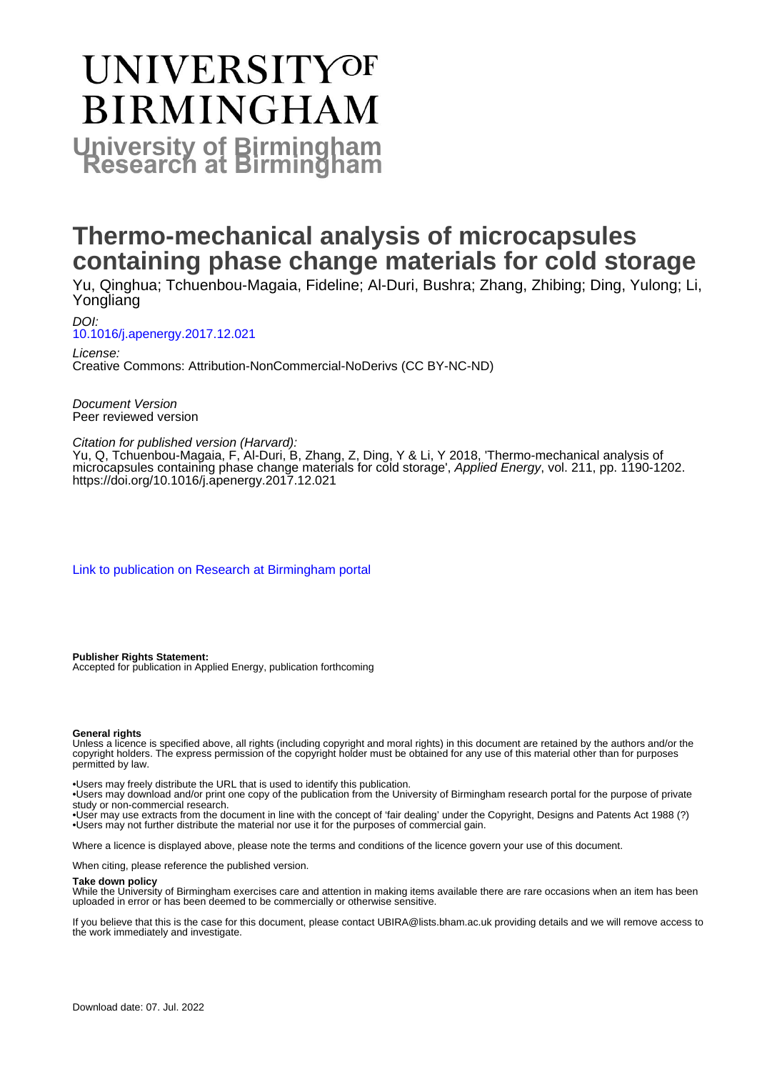# **UNIVERSITYOF BIRMINGHAM University of Birmingham**

# **Thermo-mechanical analysis of microcapsules containing phase change materials for cold storage**

Yu, Qinghua; Tchuenbou-Magaia, Fideline; Al-Duri, Bushra; Zhang, Zhibing; Ding, Yulong; Li, Yongliang

DOI: [10.1016/j.apenergy.2017.12.021](https://doi.org/10.1016/j.apenergy.2017.12.021)

License: Creative Commons: Attribution-NonCommercial-NoDerivs (CC BY-NC-ND)

Document Version Peer reviewed version

#### Citation for published version (Harvard):

Yu, Q, Tchuenbou-Magaia, F, Al-Duri, B, Zhang, Z, Ding, Y & Li, Y 2018, 'Thermo-mechanical analysis of microcapsules containing phase change materials for cold storage', Applied Energy, vol. 211, pp. 1190-1202. <https://doi.org/10.1016/j.apenergy.2017.12.021>

[Link to publication on Research at Birmingham portal](https://birmingham.elsevierpure.com/en/publications/9b49715b-4bc7-40eb-871d-271094a66b76)

**Publisher Rights Statement:** Accepted for publication in Applied Energy, publication forthcoming

#### **General rights**

Unless a licence is specified above, all rights (including copyright and moral rights) in this document are retained by the authors and/or the copyright holders. The express permission of the copyright holder must be obtained for any use of this material other than for purposes permitted by law.

• Users may freely distribute the URL that is used to identify this publication.

• Users may download and/or print one copy of the publication from the University of Birmingham research portal for the purpose of private study or non-commercial research.

• User may use extracts from the document in line with the concept of 'fair dealing' under the Copyright, Designs and Patents Act 1988 (?) • Users may not further distribute the material nor use it for the purposes of commercial gain.

Where a licence is displayed above, please note the terms and conditions of the licence govern your use of this document.

When citing, please reference the published version.

#### **Take down policy**

While the University of Birmingham exercises care and attention in making items available there are rare occasions when an item has been uploaded in error or has been deemed to be commercially or otherwise sensitive.

If you believe that this is the case for this document, please contact UBIRA@lists.bham.ac.uk providing details and we will remove access to the work immediately and investigate.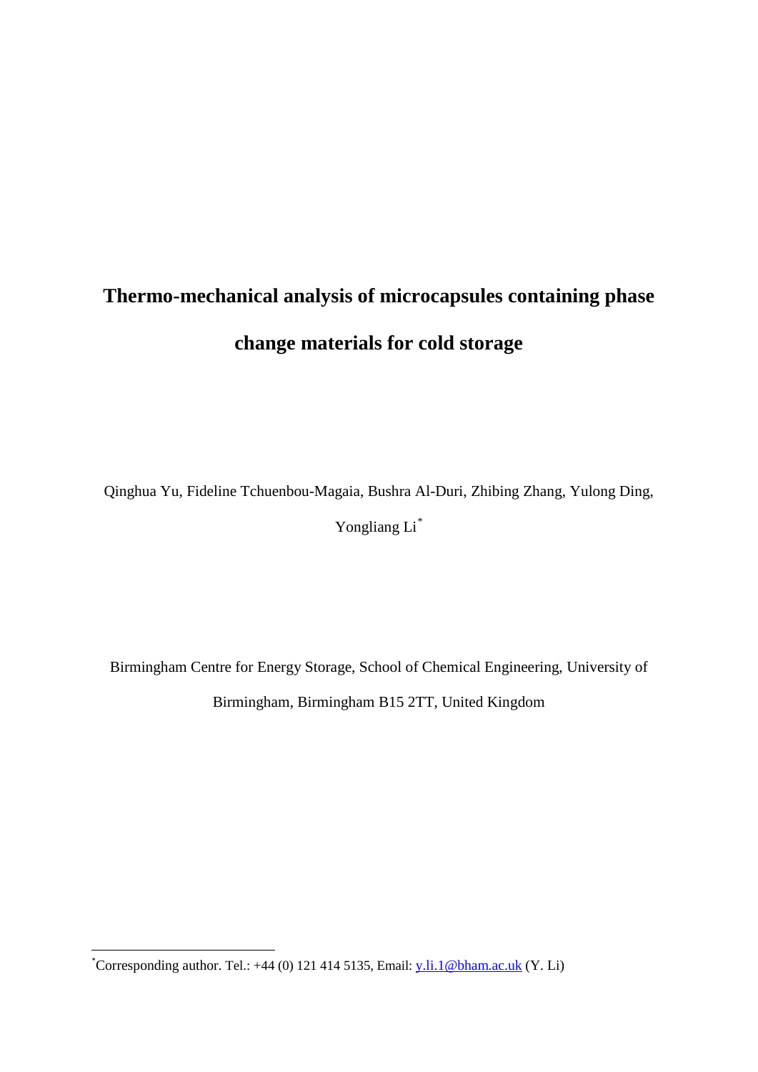# **Thermo-mechanical analysis of microcapsules containing phase change materials for cold storage**

Qinghua Yu, Fideline Tchuenbou-Magaia, Bushra Al-Duri, Zhibing Zhang, Yulong Ding,

Yongliang Li[\\*](#page-1-0)

Birmingham Centre for Energy Storage, School of Chemical Engineering, University of Birmingham, Birmingham B15 2TT, United Kingdom

**.** 

<span id="page-1-0"></span><sup>\*</sup>Corresponding author. Tel.: +44 (0) 121 414 5135, Email: [y.li.1@bham.ac.uk](mailto:y.li.1@bham.ac.uk) (Y. Li)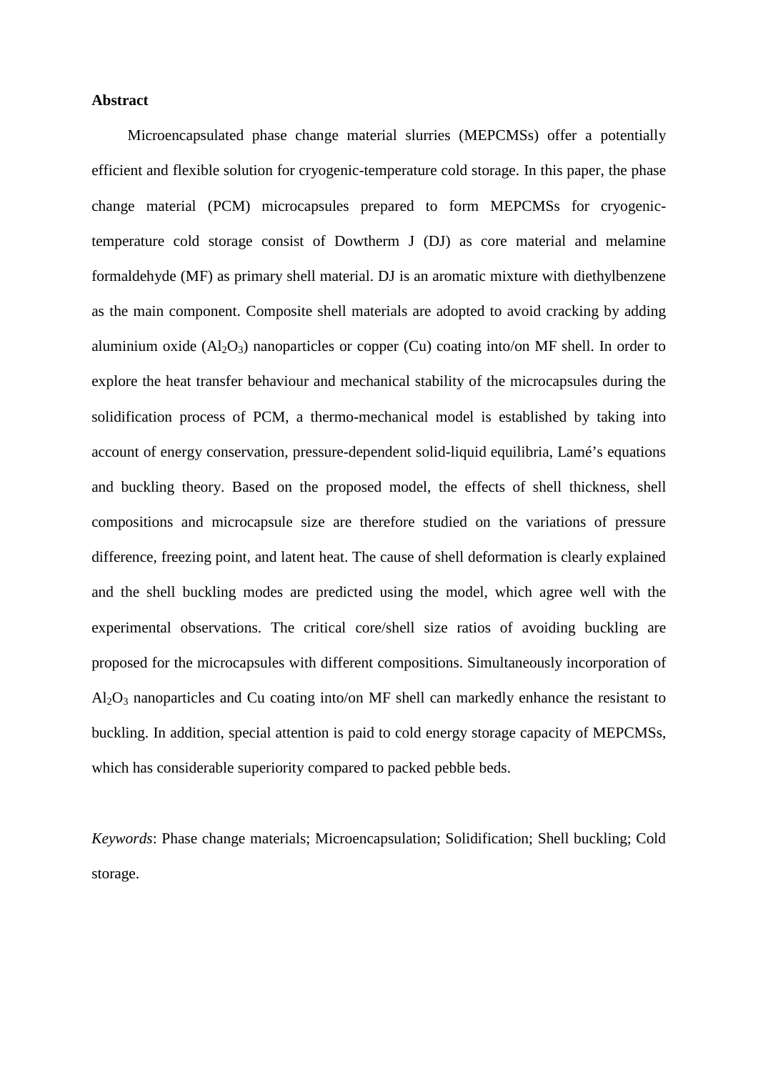#### **Abstract**

Microencapsulated phase change material slurries (MEPCMSs) offer a potentially efficient and flexible solution for cryogenic-temperature cold storage. In this paper, the phase change material (PCM) microcapsules prepared to form MEPCMSs for cryogenictemperature cold storage consist of Dowtherm J (DJ) as core material and melamine formaldehyde (MF) as primary shell material. DJ is an aromatic mixture with diethylbenzene as the main component. Composite shell materials are adopted to avoid cracking by adding aluminium oxide  $(A_1_2O_3)$  nanoparticles or copper (Cu) coating into/on MF shell. In order to explore the heat transfer behaviour and mechanical stability of the microcapsules during the solidification process of PCM, a thermo-mechanical model is established by taking into account of energy conservation, pressure-dependent solid-liquid equilibria, Lamé's equations and buckling theory. Based on the proposed model, the effects of shell thickness, shell compositions and microcapsule size are therefore studied on the variations of pressure difference, freezing point, and latent heat. The cause of shell deformation is clearly explained and the shell buckling modes are predicted using the model, which agree well with the experimental observations. The critical core/shell size ratios of avoiding buckling are proposed for the microcapsules with different compositions. Simultaneously incorporation of  $Al_2O_3$  nanoparticles and Cu coating into/on MF shell can markedly enhance the resistant to buckling. In addition, special attention is paid to cold energy storage capacity of MEPCMSs, which has considerable superiority compared to packed pebble beds.

*Keywords*: Phase change materials; Microencapsulation; Solidification; Shell buckling; Cold storage.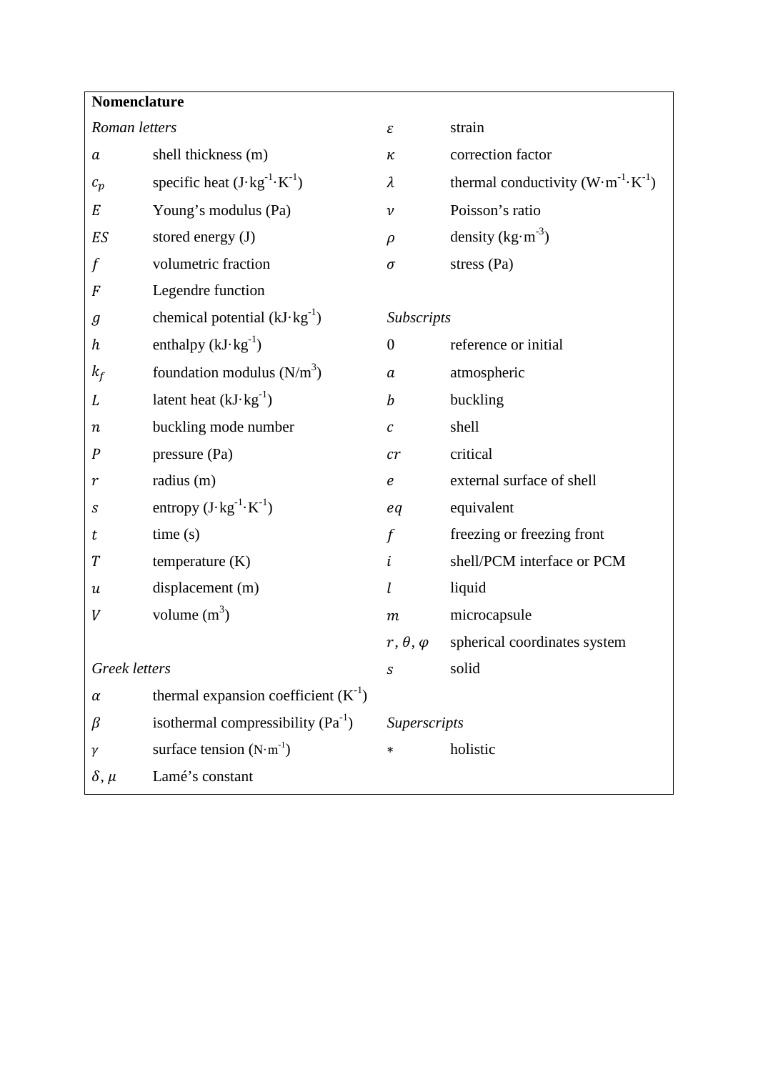| Nomenclature     |                                                |                      |                                                      |  |  |  |
|------------------|------------------------------------------------|----------------------|------------------------------------------------------|--|--|--|
| Roman letters    |                                                | ε                    | strain                                               |  |  |  |
| $\boldsymbol{a}$ | shell thickness (m)                            | к                    | correction factor                                    |  |  |  |
| $c_p$            | specific heat $(J \cdot kg^{-1} \cdot K^{-1})$ | $\lambda$            | thermal conductivity $(W \cdot m^{-1} \cdot K^{-1})$ |  |  |  |
| E                | Young's modulus (Pa)                           | $\mathcal V$         | Poisson's ratio                                      |  |  |  |
| ES               | stored energy (J)                              | $\rho$               | density $(kg·m-3)$                                   |  |  |  |
|                  | volumetric fraction                            | $\sigma$             | stress (Pa)                                          |  |  |  |
| F                | Legendre function                              |                      |                                                      |  |  |  |
| $\boldsymbol{g}$ | chemical potential $(kJ \cdot kg^{-1})$        |                      | Subscripts                                           |  |  |  |
| h                | enthalpy $(kJ \cdot kg^{-1})$                  | $\mathbf{0}$         | reference or initial                                 |  |  |  |
| $k_f$            | foundation modulus $(N/m^3)$                   | a                    | atmospheric                                          |  |  |  |
| L                | latent heat $(kJ \cdot kg^{-1})$               | $\boldsymbol{b}$     | buckling                                             |  |  |  |
| $\boldsymbol{n}$ | buckling mode number                           | $\mathcal C$         | shell                                                |  |  |  |
| $\boldsymbol{P}$ | pressure (Pa)                                  | cr                   | critical                                             |  |  |  |
| r                | radius (m)                                     | $\boldsymbol{e}$     | external surface of shell                            |  |  |  |
| S                | entropy $(J \cdot kg^{-1} \cdot K^{-1})$       | eq                   | equivalent                                           |  |  |  |
| t                | time(s)                                        | $\int$               | freezing or freezing front                           |  |  |  |
| T                | temperature $(K)$                              | i                    | shell/PCM interface or PCM                           |  |  |  |
| и                | displacement (m)                               | l                    | liquid                                               |  |  |  |
| V                | volume $(m^3)$                                 | $\boldsymbol{m}$     | microcapsule                                         |  |  |  |
|                  |                                                | $r, \theta, \varphi$ | spherical coordinates system                         |  |  |  |
| Greek letters    |                                                | $\boldsymbol{S}$     | solid                                                |  |  |  |
| $\alpha$         | thermal expansion coefficient $(K-1)$          |                      |                                                      |  |  |  |
| β                | isothermal compressibility $(Pa^{-1})$         | Superscripts         |                                                      |  |  |  |
| γ                | surface tension $(N \cdot m^{-1})$             | $\ast$               | holistic                                             |  |  |  |
| $\delta$ , $\mu$ | Lamé's constant                                |                      |                                                      |  |  |  |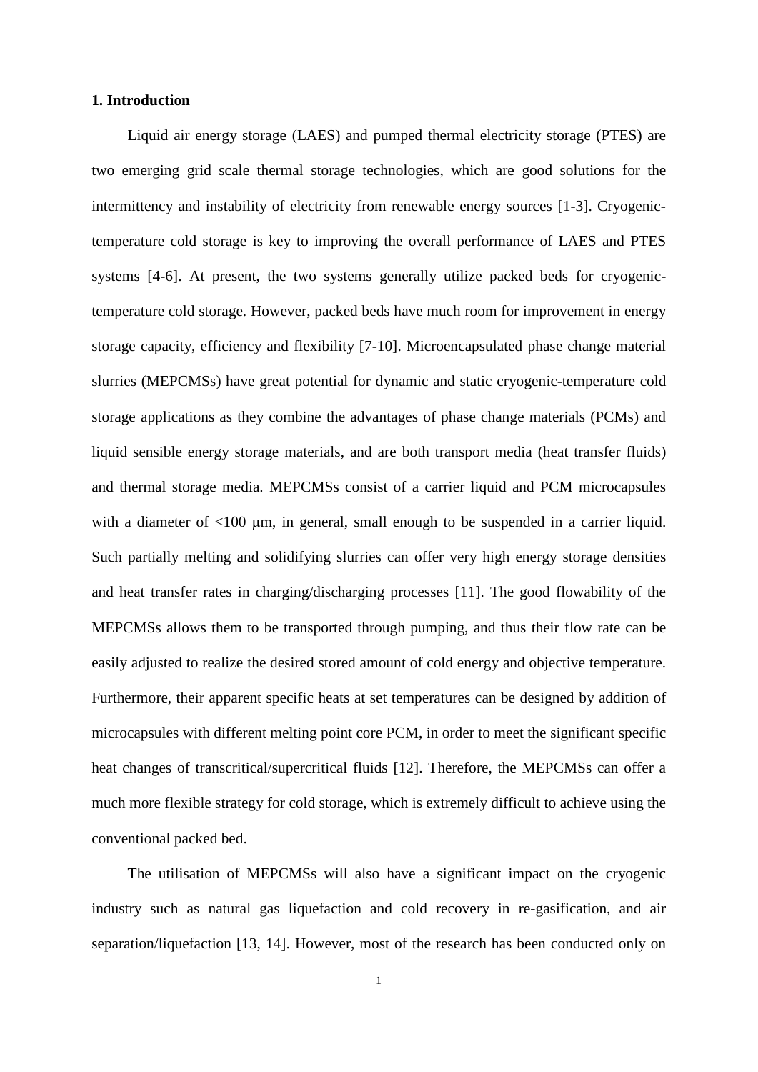#### **1. Introduction**

Liquid air energy storage (LAES) and pumped thermal electricity storage (PTES) are two emerging grid scale thermal storage technologies, which are good solutions for the intermittency and instability of electricity from renewable energy sources [1-3]. Cryogenictemperature cold storage is key to improving the overall performance of LAES and PTES systems [4-6]. At present, the two systems generally utilize packed beds for cryogenictemperature cold storage. However, packed beds have much room for improvement in energy storage capacity, efficiency and flexibility [7-10]. Microencapsulated phase change material slurries (MEPCMSs) have great potential for dynamic and static cryogenic-temperature cold storage applications as they combine the advantages of phase change materials (PCMs) and liquid sensible energy storage materials, and are both transport media (heat transfer fluids) and thermal storage media. MEPCMSs consist of a carrier liquid and PCM microcapsules with a diameter of <100 μm, in general, small enough to be suspended in a carrier liquid. Such partially melting and solidifying slurries can offer very high energy storage densities and heat transfer rates in charging/discharging processes [11]. The good flowability of the MEPCMSs allows them to be transported through pumping, and thus their flow rate can be easily adjusted to realize the desired stored amount of cold energy and objective temperature. Furthermore, their apparent specific heats at set temperatures can be designed by addition of microcapsules with different melting point core PCM, in order to meet the significant specific heat changes of transcritical/supercritical fluids [12]. Therefore, the MEPCMSs can offer a much more flexible strategy for cold storage, which is extremely difficult to achieve using the conventional packed bed.

The utilisation of MEPCMSs will also have a significant impact on the cryogenic industry such as natural gas liquefaction and cold recovery in re-gasification, and air separation/liquefaction [13, 14]. However, most of the research has been conducted only on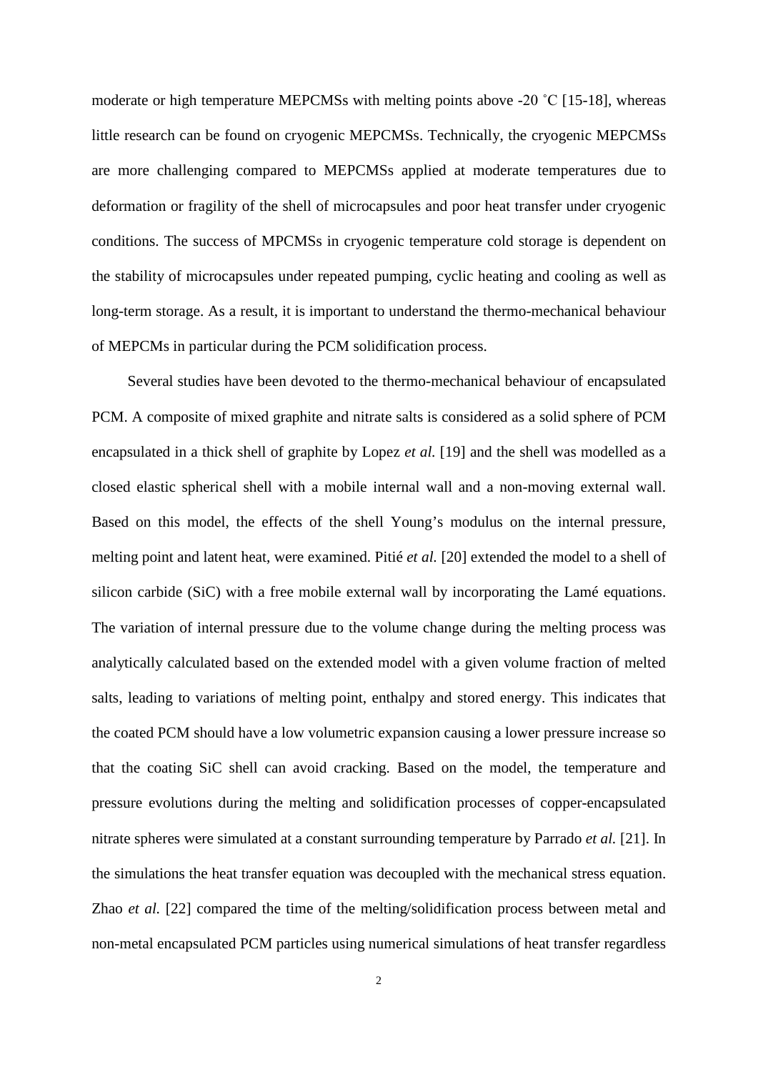moderate or high temperature MEPCMSs with melting points above -20 ˚C [15-18], whereas little research can be found on cryogenic MEPCMSs. Technically, the cryogenic MEPCMSs are more challenging compared to MEPCMSs applied at moderate temperatures due to deformation or fragility of the shell of microcapsules and poor heat transfer under cryogenic conditions. The success of MPCMSs in cryogenic temperature cold storage is dependent on the stability of microcapsules under repeated pumping, cyclic heating and cooling as well as long-term storage. As a result, it is important to understand the thermo-mechanical behaviour of MEPCMs in particular during the PCM solidification process.

Several studies have been devoted to the thermo-mechanical behaviour of encapsulated PCM. A composite of mixed graphite and nitrate salts is considered as a solid sphere of PCM encapsulated in a thick shell of graphite by Lopez *et al.* [19] and the shell was modelled as a closed elastic spherical shell with a mobile internal wall and a non-moving external wall. Based on this model, the effects of the shell Young's modulus on the internal pressure, melting point and latent heat, were examined. Pitié *et al.* [20] extended the model to a shell of silicon carbide (SiC) with a free mobile external wall by incorporating the Lamé equations. The variation of internal pressure due to the volume change during the melting process was analytically calculated based on the extended model with a given volume fraction of melted salts, leading to variations of melting point, enthalpy and stored energy. This indicates that the coated PCM should have a low volumetric expansion causing a lower pressure increase so that the coating SiC shell can avoid cracking. Based on the model, the temperature and pressure evolutions during the melting and solidification processes of copper-encapsulated nitrate spheres were simulated at a constant surrounding temperature by Parrado *et al.* [21]. In the simulations the heat transfer equation was decoupled with the mechanical stress equation. Zhao *et al.* [22] compared the time of the melting/solidification process between metal and non-metal encapsulated PCM particles using numerical simulations of heat transfer regardless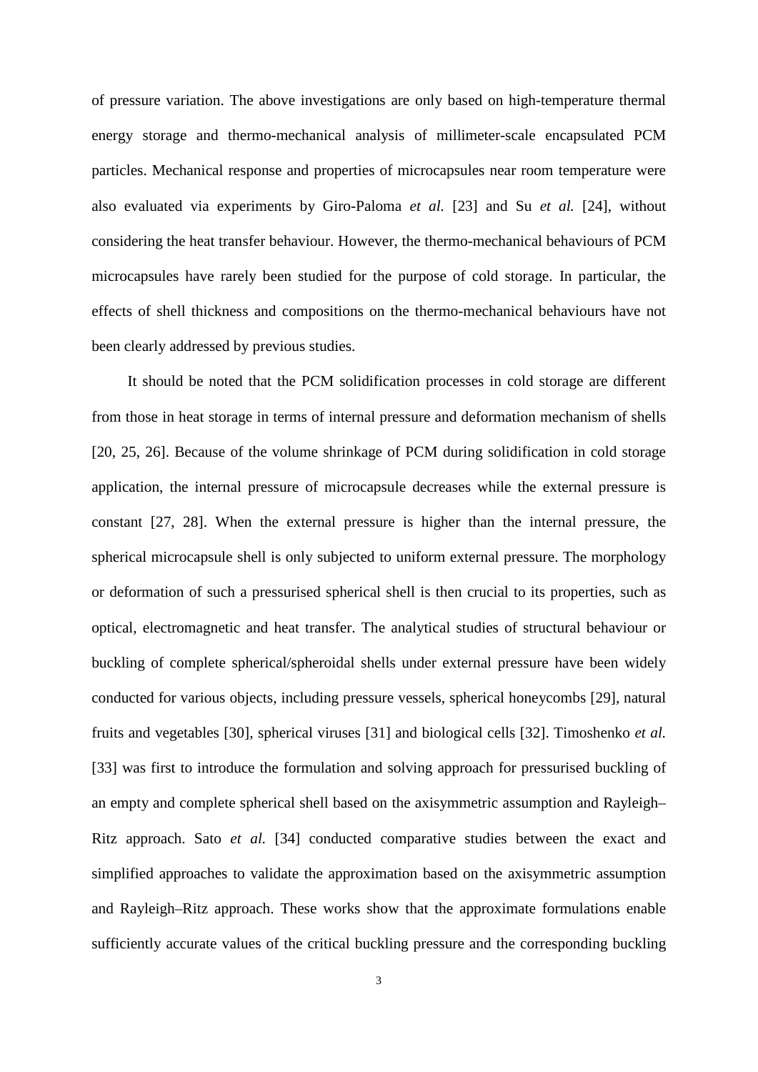of pressure variation. The above investigations are only based on high-temperature thermal energy storage and thermo-mechanical analysis of millimeter-scale encapsulated PCM particles. Mechanical response and properties of microcapsules near room temperature were also evaluated via experiments by Giro-Paloma *et al.* [23] and Su *et al.* [24], without considering the heat transfer behaviour. However, the thermo-mechanical behaviours of PCM microcapsules have rarely been studied for the purpose of cold storage. In particular, the effects of shell thickness and compositions on the thermo-mechanical behaviours have not been clearly addressed by previous studies.

It should be noted that the PCM solidification processes in cold storage are different from those in heat storage in terms of internal pressure and deformation mechanism of shells [20, 25, 26]. Because of the volume shrinkage of PCM during solidification in cold storage application, the internal pressure of microcapsule decreases while the external pressure is constant [27, 28]. When the external pressure is higher than the internal pressure, the spherical microcapsule shell is only subjected to uniform external pressure. The morphology or deformation of such a pressurised spherical shell is then crucial to its properties, such as optical, electromagnetic and heat transfer. The analytical studies of structural behaviour or buckling of complete spherical/spheroidal shells under external pressure have been widely conducted for various objects, including pressure vessels, spherical honeycombs [29], natural fruits and vegetables [30], spherical viruses [31] and biological cells [32]. Timoshenko *et al.* [33] was first to introduce the formulation and solving approach for pressurised buckling of an empty and complete spherical shell based on the axisymmetric assumption and Rayleigh– Ritz approach. Sato *et al.* [34] conducted comparative studies between the exact and simplified approaches to validate the approximation based on the axisymmetric assumption and Rayleigh–Ritz approach. These works show that the approximate formulations enable sufficiently accurate values of the critical buckling pressure and the corresponding buckling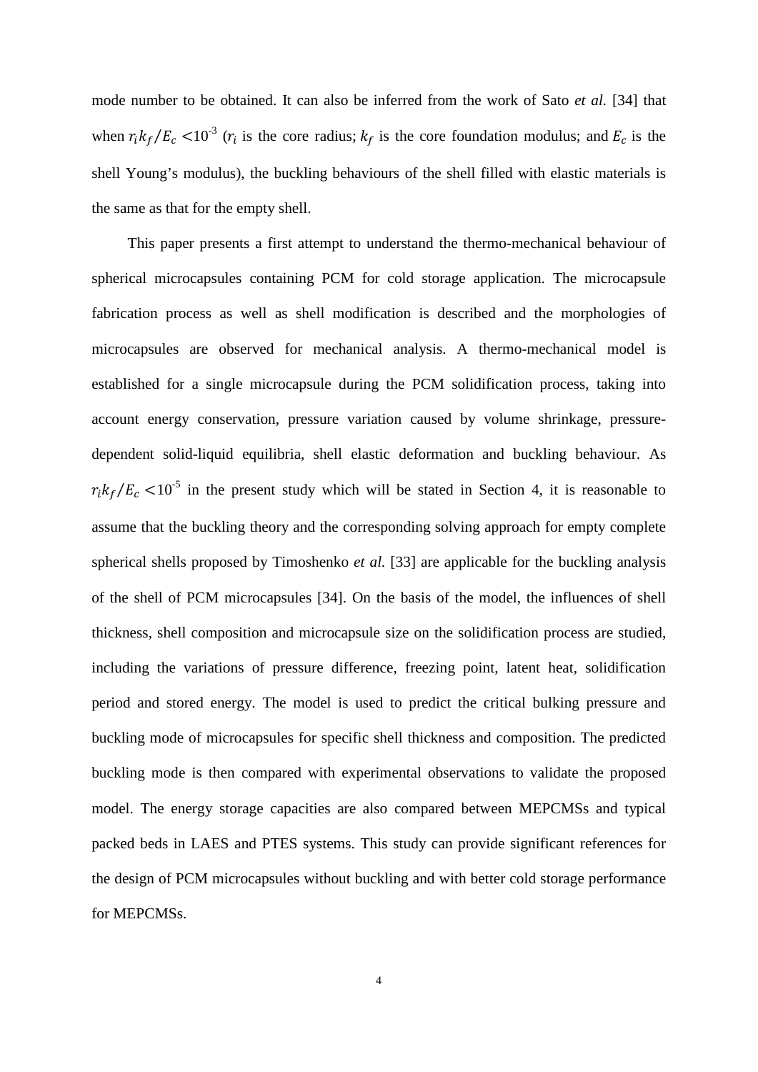mode number to be obtained. It can also be inferred from the work of Sato *et al.* [34] that when  $r_i k_f/E_c < 10^{-3}$  ( $r_i$  is the core radius;  $k_f$  is the core foundation modulus; and  $E_c$  is the shell Young's modulus), the buckling behaviours of the shell filled with elastic materials is the same as that for the empty shell.

This paper presents a first attempt to understand the thermo-mechanical behaviour of spherical microcapsules containing PCM for cold storage application. The microcapsule fabrication process as well as shell modification is described and the morphologies of microcapsules are observed for mechanical analysis. A thermo-mechanical model is established for a single microcapsule during the PCM solidification process, taking into account energy conservation, pressure variation caused by volume shrinkage, pressuredependent solid-liquid equilibria, shell elastic deformation and buckling behaviour. As  $r_i k_f/E_c$  <10<sup>-5</sup> in the present study which will be stated in Section 4, it is reasonable to assume that the buckling theory and the corresponding solving approach for empty complete spherical shells proposed by Timoshenko *et al.* [33] are applicable for the buckling analysis of the shell of PCM microcapsules [34]. On the basis of the model, the influences of shell thickness, shell composition and microcapsule size on the solidification process are studied, including the variations of pressure difference, freezing point, latent heat, solidification period and stored energy. The model is used to predict the critical bulking pressure and buckling mode of microcapsules for specific shell thickness and composition. The predicted buckling mode is then compared with experimental observations to validate the proposed model. The energy storage capacities are also compared between MEPCMSs and typical packed beds in LAES and PTES systems. This study can provide significant references for the design of PCM microcapsules without buckling and with better cold storage performance for MEPCMSs.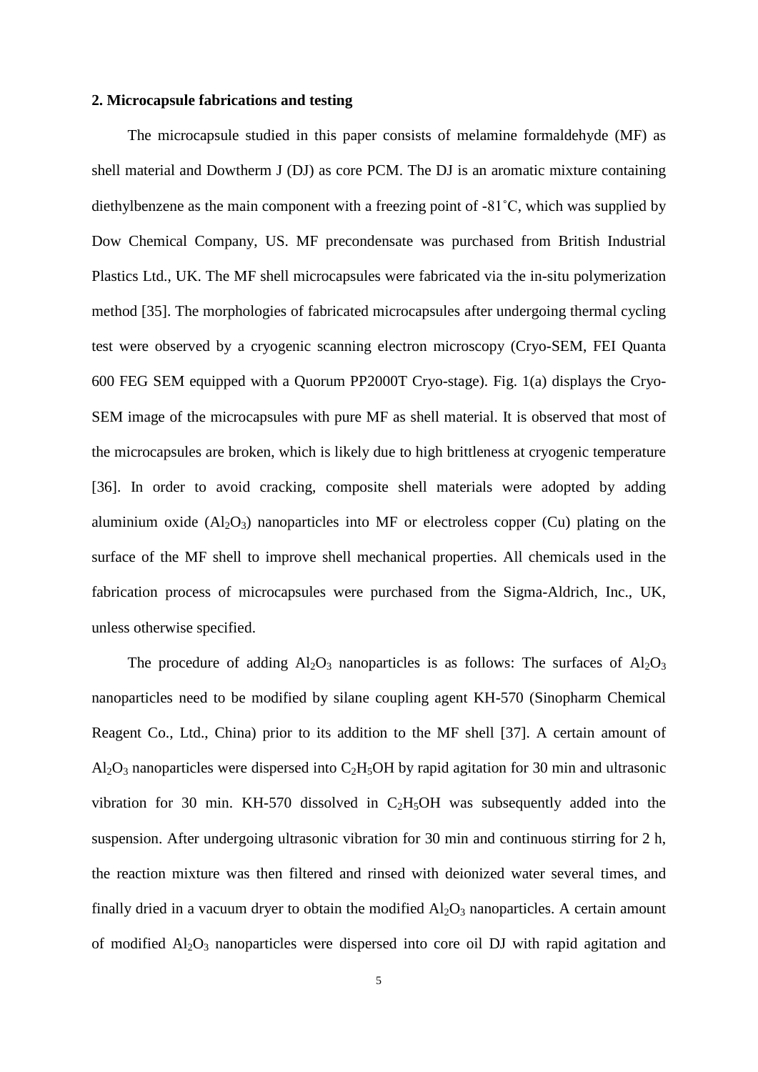#### **2. Microcapsule fabrications and testing**

The microcapsule studied in this paper consists of melamine formaldehyde (MF) as shell material and Dowtherm J (DJ) as core PCM. The DJ is an aromatic mixture containing diethylbenzene as the main component with a freezing point of -81˚C, which was supplied by Dow Chemical Company, US. MF precondensate was purchased from British Industrial Plastics Ltd., UK. The MF shell microcapsules were fabricated via the in-situ polymerization method [35]. The morphologies of fabricated microcapsules after undergoing thermal cycling test were observed by a cryogenic scanning electron microscopy (Cryo-SEM, FEI Quanta 600 FEG SEM equipped with a Quorum PP2000T Cryo-stage). Fig. 1(a) displays the Cryo-SEM image of the microcapsules with pure MF as shell material. It is observed that most of the microcapsules are broken, which is likely due to high brittleness at cryogenic temperature [36]. In order to avoid cracking, composite shell materials were adopted by adding aluminium oxide  $(A<sub>12</sub>O<sub>3</sub>)$  nanoparticles into MF or electroless copper (Cu) plating on the surface of the MF shell to improve shell mechanical properties. All chemicals used in the fabrication process of microcapsules were purchased from the Sigma-Aldrich, Inc., UK, unless otherwise specified.

The procedure of adding  $Al_2O_3$  nanoparticles is as follows: The surfaces of  $Al_2O_3$ nanoparticles need to be modified by silane coupling agent KH-570 (Sinopharm Chemical Reagent Co., Ltd., China) prior to its addition to the MF shell [37]. A certain amount of  $Al_2O_3$  nanoparticles were dispersed into  $C_2H_5OH$  by rapid agitation for 30 min and ultrasonic vibration for 30 min. KH-570 dissolved in  $C_2H_5OH$  was subsequently added into the suspension. After undergoing ultrasonic vibration for 30 min and continuous stirring for 2 h, the reaction mixture was then filtered and rinsed with deionized water several times, and finally dried in a vacuum dryer to obtain the modified  $Al_2O_3$  nanoparticles. A certain amount of modified  $Al_2O_3$  nanoparticles were dispersed into core oil DJ with rapid agitation and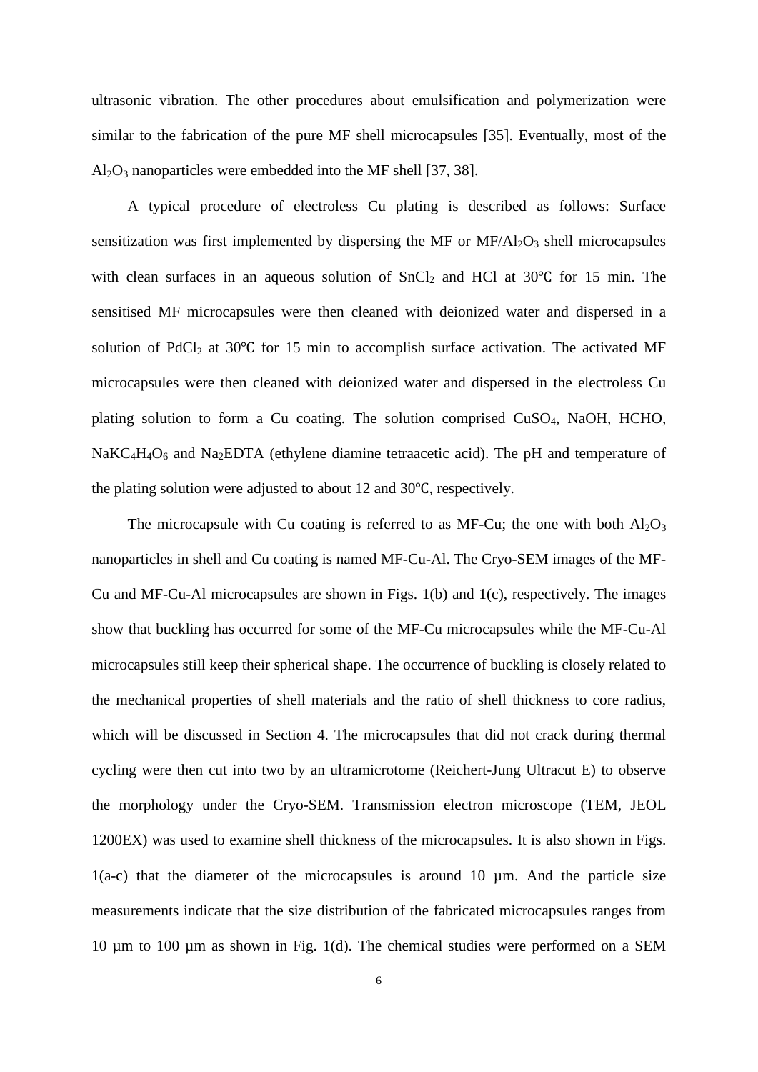ultrasonic vibration. The other procedures about emulsification and polymerization were similar to the fabrication of the pure MF shell microcapsules [35]. Eventually, most of the  $Al_2O_3$  nanoparticles were embedded into the MF shell [37, 38].

A typical procedure of electroless Cu plating is described as follows: Surface sensitization was first implemented by dispersing the MF or  $MF/Al_2O_3$  shell microcapsules with clean surfaces in an aqueous solution of  $SnCl<sub>2</sub>$  and HCl at 30°C for 15 min. The sensitised MF microcapsules were then cleaned with deionized water and dispersed in a solution of PdCl<sub>2</sub> at 30℃ for 15 min to accomplish surface activation. The activated MF microcapsules were then cleaned with deionized water and dispersed in the electroless Cu plating solution to form a Cu coating. The solution comprised CuSO4, NaOH, HCHO,  $NaKC<sub>4</sub>H<sub>4</sub>O<sub>6</sub>$  and Na<sub>2</sub>EDTA (ethylene diamine tetraacetic acid). The pH and temperature of the plating solution were adjusted to about 12 and 30℃, respectively.

The microcapsule with Cu coating is referred to as MF-Cu; the one with both  $Al_2O_3$ nanoparticles in shell and Cu coating is named MF-Cu-Al. The Cryo-SEM images of the MF-Cu and MF-Cu-Al microcapsules are shown in Figs. 1(b) and 1(c), respectively. The images show that buckling has occurred for some of the MF-Cu microcapsules while the MF-Cu-Al microcapsules still keep their spherical shape. The occurrence of buckling is closely related to the mechanical properties of shell materials and the ratio of shell thickness to core radius, which will be discussed in Section 4. The microcapsules that did not crack during thermal cycling were then cut into two by an ultramicrotome (Reichert-Jung Ultracut E) to observe the morphology under the Cryo-SEM. Transmission electron microscope (TEM, JEOL 1200EX) was used to examine shell thickness of the microcapsules. It is also shown in Figs.  $1(a-c)$  that the diameter of the microcapsules is around 10  $\mu$ m. And the particle size measurements indicate that the size distribution of the fabricated microcapsules ranges from 10 µm to 100 µm as shown in Fig. 1(d). The chemical studies were performed on a SEM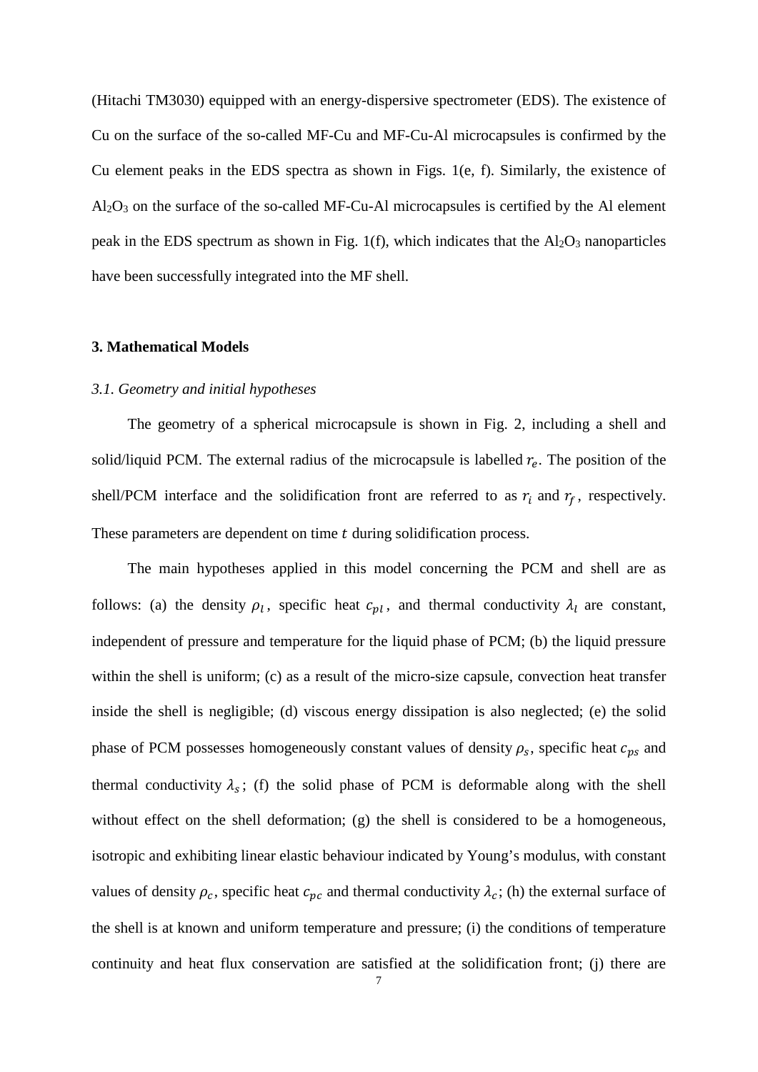(Hitachi TM3030) equipped with an energy-dispersive spectrometer (EDS). The existence of Cu on the surface of the so-called MF-Cu and MF-Cu-Al microcapsules is confirmed by the Cu element peaks in the EDS spectra as shown in Figs. 1(e, f). Similarly, the existence of  $Al_2O_3$  on the surface of the so-called MF-Cu-Al microcapsules is certified by the Al element peak in the EDS spectrum as shown in Fig. 1(f), which indicates that the  $Al_2O_3$  nanoparticles have been successfully integrated into the MF shell.

#### **3. Mathematical Models**

#### *3.1. Geometry and initial hypotheses*

The geometry of a spherical microcapsule is shown in Fig. 2, including a shell and solid/liquid PCM. The external radius of the microcapsule is labelled  $r_e$ . The position of the shell/PCM interface and the solidification front are referred to as  $r_i$  and  $r_f$ , respectively. These parameters are dependent on time  $t$  during solidification process.

The main hypotheses applied in this model concerning the PCM and shell are as follows: (a) the density  $\rho_l$ , specific heat  $c_{nl}$ , and thermal conductivity  $\lambda_l$  are constant, independent of pressure and temperature for the liquid phase of PCM; (b) the liquid pressure within the shell is uniform; (c) as a result of the micro-size capsule, convection heat transfer inside the shell is negligible; (d) viscous energy dissipation is also neglected; (e) the solid phase of PCM possesses homogeneously constant values of density  $\rho_s$ , specific heat  $c_{ps}$  and thermal conductivity  $\lambda_s$ ; (f) the solid phase of PCM is deformable along with the shell without effect on the shell deformation; (g) the shell is considered to be a homogeneous, isotropic and exhibiting linear elastic behaviour indicated by Young's modulus, with constant values of density  $\rho_c$ , specific heat  $c_{\nu c}$  and thermal conductivity  $\lambda_c$ ; (h) the external surface of the shell is at known and uniform temperature and pressure; (i) the conditions of temperature continuity and heat flux conservation are satisfied at the solidification front; (j) there are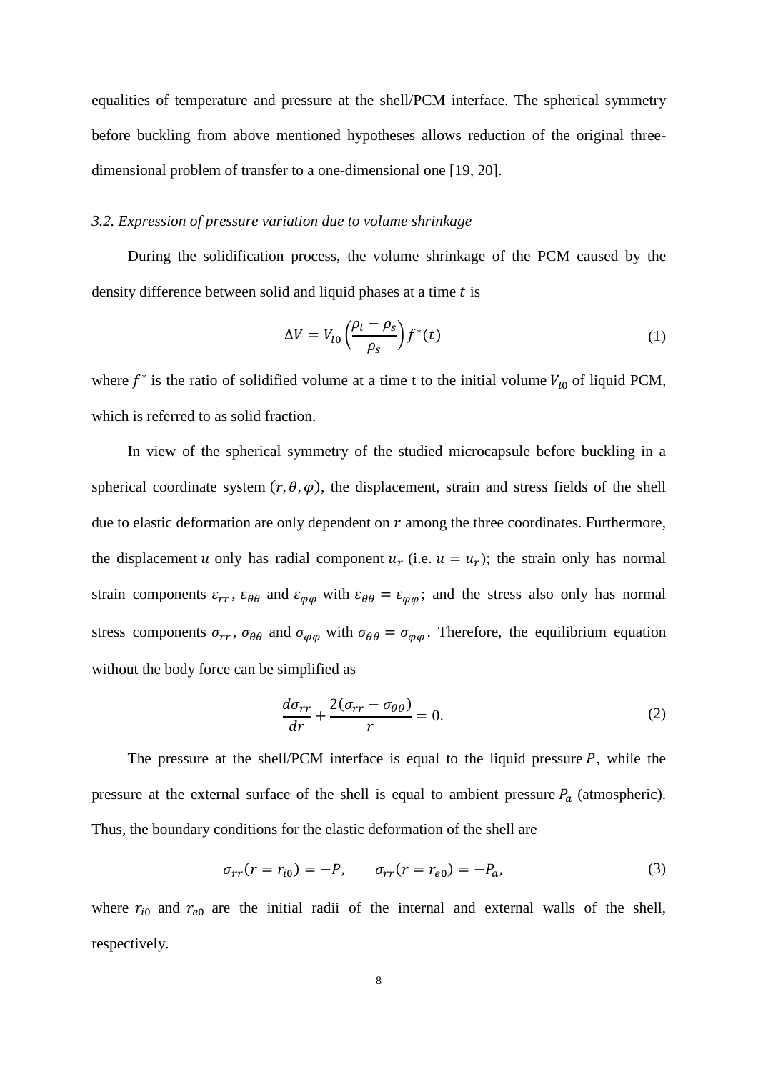equalities of temperature and pressure at the shell/PCM interface. The spherical symmetry before buckling from above mentioned hypotheses allows reduction of the original threedimensional problem of transfer to a one-dimensional one [19, 20].

#### *3.2. Expression of pressure variation due to volume shrinkage*

During the solidification process, the volume shrinkage of the PCM caused by the density difference between solid and liquid phases at a time  $t$  is

$$
\Delta V = V_{l0} \left( \frac{\rho_l - \rho_s}{\rho_s} \right) f^*(t) \tag{1}
$$

where  $f^*$  is the ratio of solidified volume at a time t to the initial volume  $V_{l0}$  of liquid PCM, which is referred to as solid fraction.

In view of the spherical symmetry of the studied microcapsule before buckling in a spherical coordinate system  $(r, \theta, \varphi)$ , the displacement, strain and stress fields of the shell due to elastic deformation are only dependent on  $r$  among the three coordinates. Furthermore, the displacement u only has radial component  $u_r$  (i.e.  $u = u_r$ ); the strain only has normal strain components  $\varepsilon_{rr}$ ,  $\varepsilon_{\theta\theta}$  and  $\varepsilon_{\varphi\varphi}$  with  $\varepsilon_{\theta\theta} = \varepsilon_{\varphi\varphi}$ ; and the stress also only has normal stress components  $\sigma_{rr}$ ,  $\sigma_{\theta\theta}$  and  $\sigma_{\varphi\varphi}$  with  $\sigma_{\theta\theta} = \sigma_{\varphi\varphi}$ . Therefore, the equilibrium equation without the body force can be simplified as

$$
\frac{d\sigma_{rr}}{dr} + \frac{2(\sigma_{rr} - \sigma_{\theta\theta})}{r} = 0.
$$
 (2)

The pressure at the shell/PCM interface is equal to the liquid pressure  $P$ , while the pressure at the external surface of the shell is equal to ambient pressure  $P_a$  (atmospheric). Thus, the boundary conditions for the elastic deformation of the shell are

$$
\sigma_{rr}(r = r_{i0}) = -P, \qquad \sigma_{rr}(r = r_{e0}) = -P_a,
$$
\n(3)

where  $r_{i0}$  and  $r_{e0}$  are the initial radii of the internal and external walls of the shell, respectively.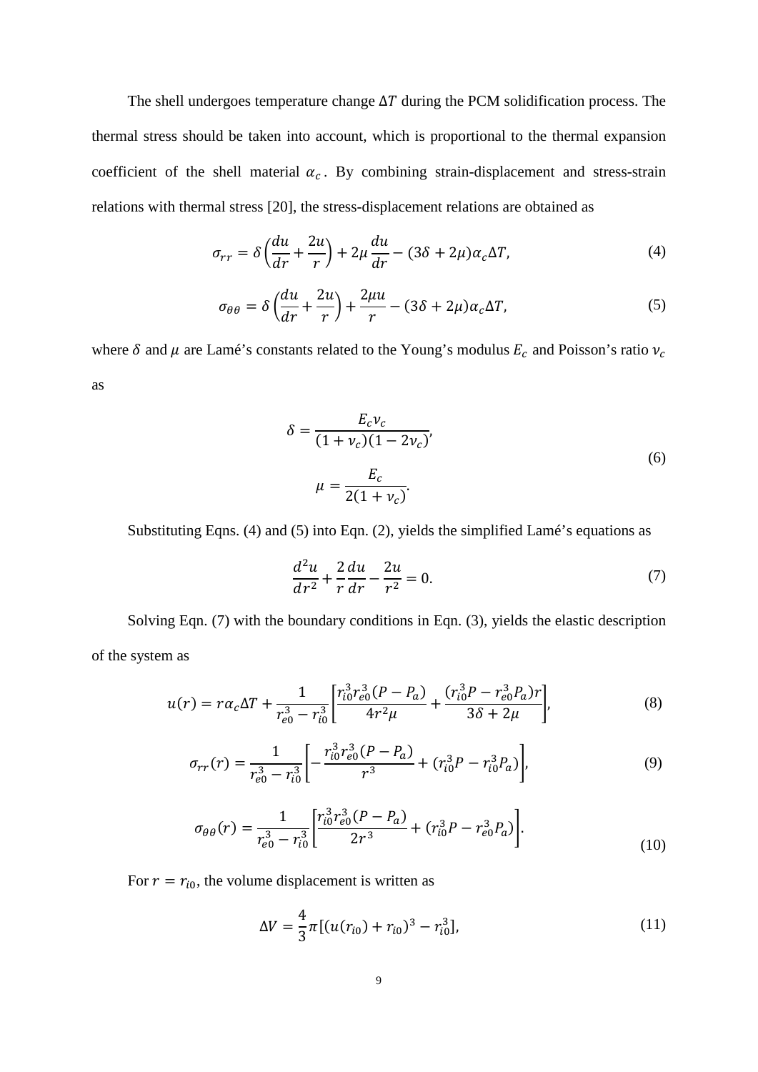The shell undergoes temperature change  $\Delta T$  during the PCM solidification process. The thermal stress should be taken into account, which is proportional to the thermal expansion coefficient of the shell material  $\alpha_c$ . By combining strain-displacement and stress-strain relations with thermal stress [20], the stress-displacement relations are obtained as

$$
\sigma_{rr} = \delta \left( \frac{du}{dr} + \frac{2u}{r} \right) + 2\mu \frac{du}{dr} - (3\delta + 2\mu)\alpha_c \Delta T,\tag{4}
$$

$$
\sigma_{\theta\theta} = \delta \left( \frac{du}{dr} + \frac{2u}{r} \right) + \frac{2\mu u}{r} - (3\delta + 2\mu)\alpha_c \Delta T,\tag{5}
$$

where  $\delta$  and  $\mu$  are Lamé's constants related to the Young's modulus  $E_c$  and Poisson's ratio  $v_c$ as

$$
\delta = \frac{E_c v_c}{(1 + v_c)(1 - 2v_c)},
$$
  

$$
\mu = \frac{E_c}{2(1 + v_c)}.
$$
 (6)

Substituting Eqns. (4) and (5) into Eqn. (2), yields the simplified Lamé's equations as

$$
\frac{d^2u}{dr^2} + \frac{2}{r}\frac{du}{dr} - \frac{2u}{r^2} = 0.
$$
 (7)

Solving Eqn. (7) with the boundary conditions in Eqn. (3), yields the elastic description of the system as

$$
u(r) = r\alpha_c \Delta T + \frac{1}{r_{e0}^3 - r_{i0}^3} \left[ \frac{r_{i0}^3 r_{e0}^3 (P - P_a)}{4r^2 \mu} + \frac{(r_{i0}^3 P - r_{e0}^3 P_a) r}{3\delta + 2\mu} \right],
$$
(8)

$$
\sigma_{rr}(r) = \frac{1}{r_{e0}^3 - r_{i0}^3} \left[ -\frac{r_{i0}^3 r_{e0}^3 (P - P_a)}{r^3} + (r_{i0}^3 P - r_{i0}^3 P_a) \right],\tag{9}
$$

$$
\sigma_{\theta\theta}(r) = \frac{1}{r_{e0}^3 - r_{i0}^3} \left[ \frac{r_{i0}^3 r_{e0}^3 (P - P_a)}{2r^3} + (r_{i0}^3 P - r_{e0}^3 P_a) \right].
$$
\n(10)

For  $r = r_{i0}$ , the volume displacement is written as

$$
\Delta V = \frac{4}{3}\pi [(u(r_{i0}) + r_{i0})^3 - r_{i0}^3],\tag{11}
$$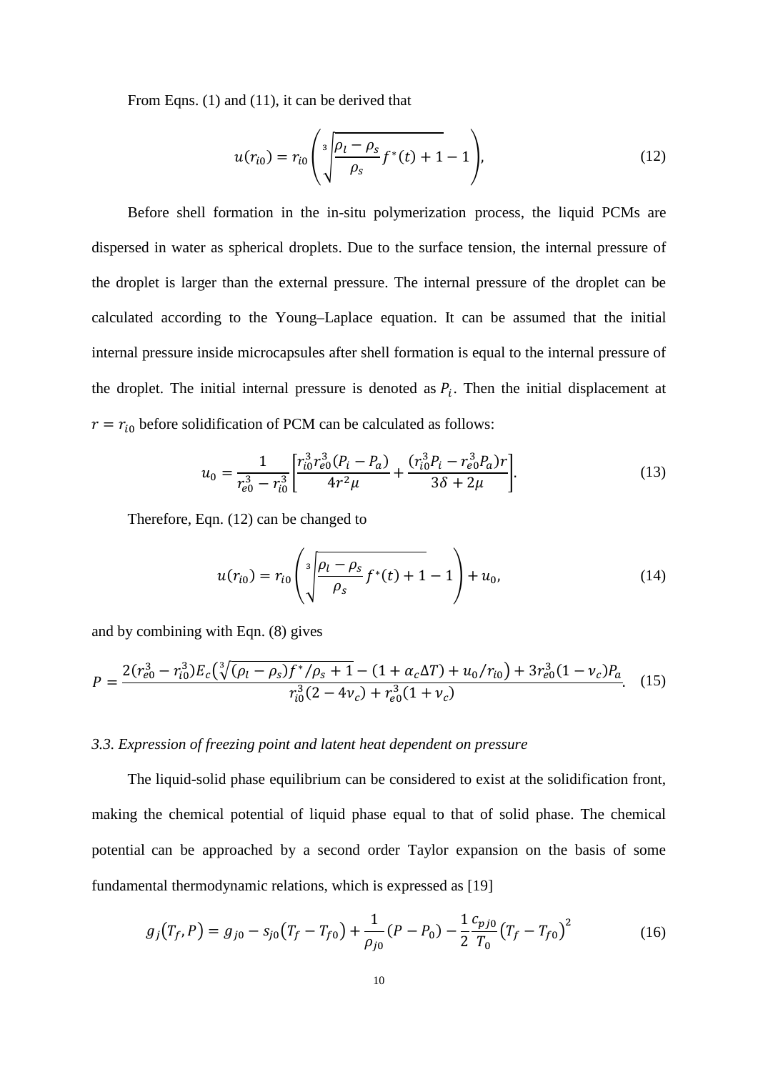From Eqns. (1) and (11), it can be derived that

$$
u(r_{i0}) = r_{i0} \left( \sqrt[3]{\frac{\rho_l - \rho_s}{\rho_s}} f^*(t) + 1 - 1 \right), \tag{12}
$$

Before shell formation in the in-situ polymerization process, the liquid PCMs are dispersed in water as spherical droplets. Due to the surface tension, the internal pressure of the droplet is larger than the external pressure. The internal pressure of the droplet can be calculated according to the Young–Laplace equation. It can be assumed that the initial internal pressure inside microcapsules after shell formation is equal to the internal pressure of the droplet. The initial internal pressure is denoted as  $P_i$ . Then the initial displacement at  $r = r_{i0}$  before solidification of PCM can be calculated as follows:

$$
u_0 = \frac{1}{r_{e0}^3 - r_{i0}^3} \left[ \frac{r_{i0}^3 r_{e0}^3 (P_i - P_a)}{4r^2 \mu} + \frac{(r_{i0}^3 P_i - r_{e0}^3 P_a) r}{3\delta + 2\mu} \right].
$$
 (13)

Therefore, Eqn. (12) can be changed to

$$
u(r_{i0}) = r_{i0} \left( \sqrt[3]{\frac{\rho_l - \rho_s}{\rho_s}} f^*(t) + 1 - 1 \right) + u_0,
$$
\n(14)

and by combining with Eqn. (8) gives

$$
P = \frac{2(r_{e0}^3 - r_{i0}^3)E_c(\sqrt[3]{(\rho_l - \rho_s)f^*/\rho_s + 1} - (1 + \alpha_c \Delta T) + u_0/r_{i0}) + 3r_{e0}^3(1 - v_c)P_a}{r_{i0}^3(2 - 4v_c) + r_{e0}^3(1 + v_c)}.
$$
 (15)

## *3.3. Expression of freezing point and latent heat dependent on pressure*

The liquid-solid phase equilibrium can be considered to exist at the solidification front, making the chemical potential of liquid phase equal to that of solid phase. The chemical potential can be approached by a second order Taylor expansion on the basis of some fundamental thermodynamic relations, which is expressed as [19]

$$
g_j(T_f, P) = g_{j0} - s_{j0}(T_f - T_{f0}) + \frac{1}{\rho_{j0}}(P - P_0) - \frac{1}{2}\frac{c_{pj0}}{T_0}(T_f - T_{f0})^2
$$
(16)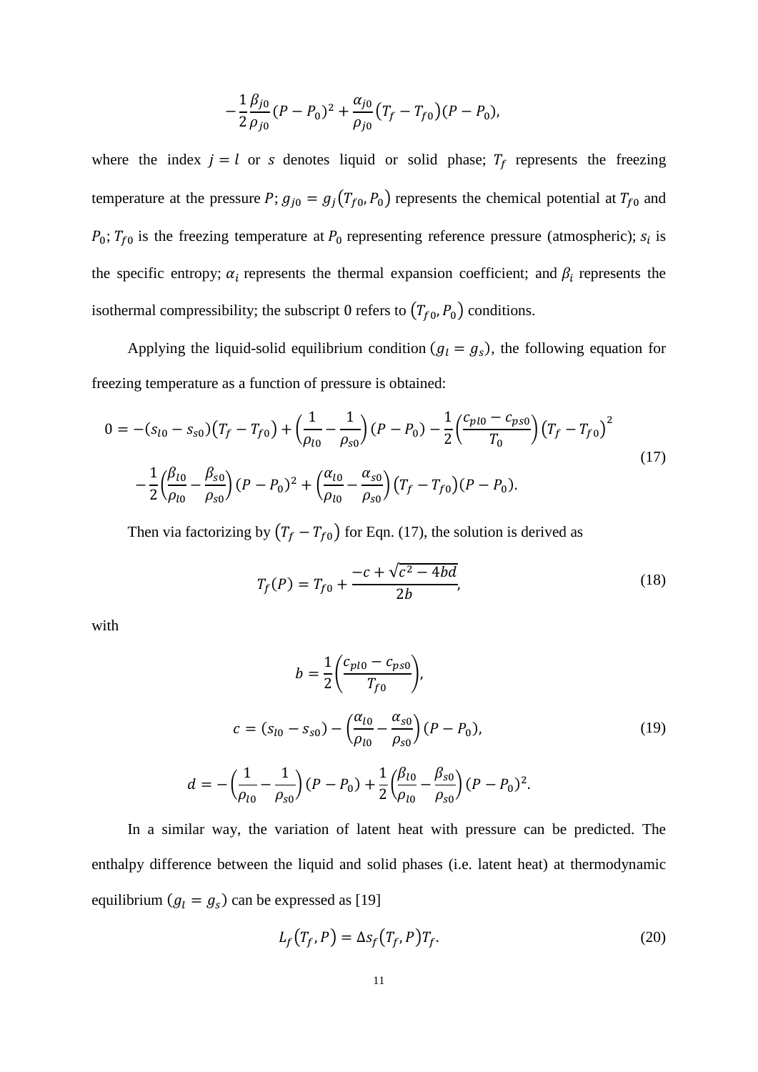$$
-\frac{1}{2}\frac{\beta_{j0}}{\rho_{j0}}(P-P_0)^2+\frac{\alpha_{j0}}{\rho_{j0}}(T_f-T_{f0})(P-P_0),
$$

where the index  $j = l$  or s denotes liquid or solid phase;  $T_f$  represents the freezing temperature at the pressure P;  $g_{j0} = g_j(T_{f0}, P_0)$  represents the chemical potential at  $T_{f0}$  and  $P_0$ ;  $T_{f0}$  is the freezing temperature at  $P_0$  representing reference pressure (atmospheric);  $s_i$  is the specific entropy;  $\alpha_i$  represents the thermal expansion coefficient; and  $\beta_i$  represents the isothermal compressibility; the subscript 0 refers to  $(T_{f0}, P_0)$  conditions.

Applying the liquid-solid equilibrium condition ( $g_l = g_s$ ), the following equation for freezing temperature as a function of pressure is obtained:

$$
0 = -(s_{l0} - s_{s0})(T_f - T_{f0}) + \left(\frac{1}{\rho_{l0}} - \frac{1}{\rho_{s0}}\right)(P - P_0) - \frac{1}{2}\left(\frac{c_{pl0} - c_{ps0}}{T_0}\right)(T_f - T_{f0})^2
$$
  

$$
-\frac{1}{2}\left(\frac{\beta_{l0}}{\rho_{l0}} - \frac{\beta_{s0}}{\rho_{s0}}\right)(P - P_0)^2 + \left(\frac{\alpha_{l0}}{\rho_{l0}} - \frac{\alpha_{s0}}{\rho_{s0}}\right)(T_f - T_{f0})(P - P_0).
$$
 (17)

Then via factorizing by  $(T_f - T_{f0})$  for Eqn. (17), the solution is derived as

$$
T_f(P) = T_{f0} + \frac{-c + \sqrt{c^2 - 4bd}}{2b},
$$
\n(18)

with

$$
b = \frac{1}{2} \left( \frac{c_{p10} - c_{p50}}{T_{f0}} \right),
$$
  
\n
$$
c = (s_{l0} - s_{s0}) - \left( \frac{\alpha_{l0}}{\rho_{l0}} - \frac{\alpha_{s0}}{\rho_{s0}} \right) (P - P_0),
$$
  
\n
$$
d = -\left( \frac{1}{\rho_{l0}} - \frac{1}{\rho_{s0}} \right) (P - P_0) + \frac{1}{2} \left( \frac{\beta_{l0}}{\rho_{l0}} - \frac{\beta_{s0}}{\rho_{s0}} \right) (P - P_0)^2.
$$
\n(19)

In a similar way, the variation of latent heat with pressure can be predicted. The enthalpy difference between the liquid and solid phases (i.e. latent heat) at thermodynamic equilibrium  $(g_l = g_s)$  can be expressed as [19]

$$
L_f(T_f, P) = \Delta s_f(T_f, P) T_f. \tag{20}
$$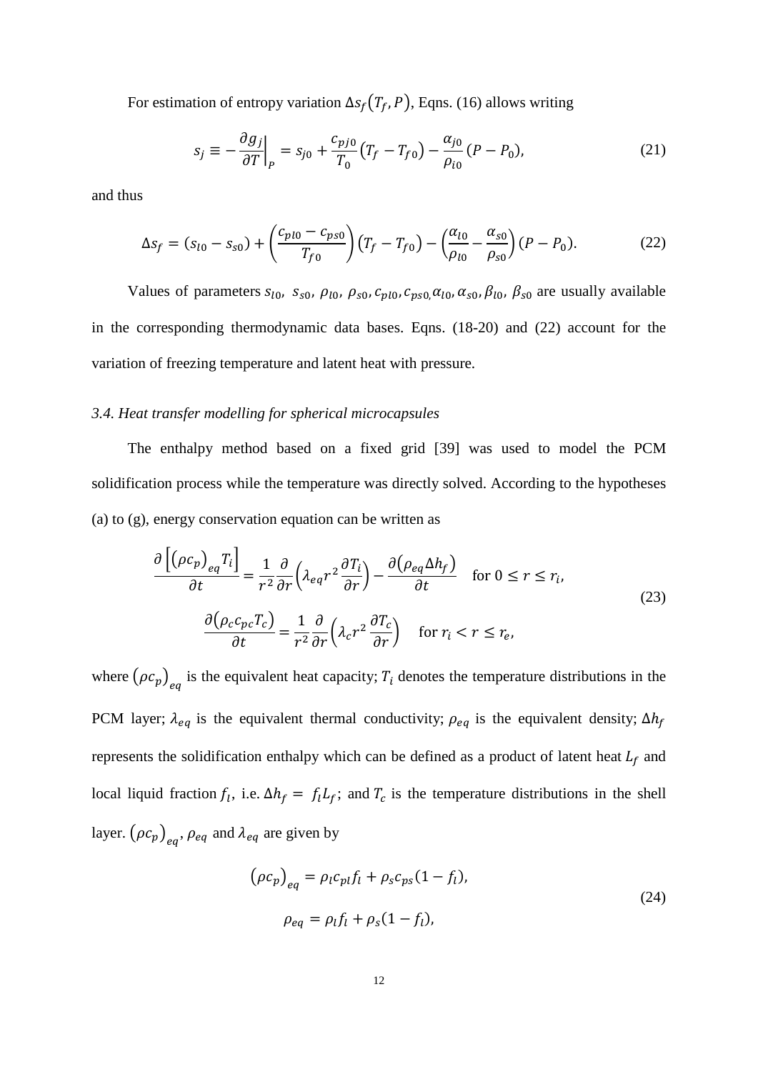For estimation of entropy variation  $\Delta s_f(T_f, P)$ , Eqns. (16) allows writing

$$
s_j \equiv -\frac{\partial g_j}{\partial T}\Big|_P = s_{j0} + \frac{c_{pj0}}{T_0} (T_f - T_{f0}) - \frac{\alpha_{j0}}{\rho_{i0}} (P - P_0), \tag{21}
$$

and thus

$$
\Delta s_f = (s_{l0} - s_{s0}) + \left(\frac{c_{pl0} - c_{ps0}}{T_{f0}}\right) \left(T_f - T_{f0}\right) - \left(\frac{\alpha_{l0}}{\rho_{l0}} - \frac{\alpha_{s0}}{\rho_{s0}}\right) (P - P_0). \tag{22}
$$

Values of parameters  $s_{l0}$ ,  $s_{s0}$ ,  $\rho_{l0}$ ,  $\rho_{s0}$ ,  $c_{p l0}$ ,  $c_{p s0}$ ,  $\alpha_{l0}$ ,  $\alpha_{s0}$ ,  $\beta_{l0}$ ,  $\beta_{s0}$  are usually available in the corresponding thermodynamic data bases. Eqns. (18-20) and (22) account for the variation of freezing temperature and latent heat with pressure.

## *3.4. Heat transfer modelling for spherical microcapsules*

The enthalpy method based on a fixed grid [39] was used to model the PCM solidification process while the temperature was directly solved. According to the hypotheses (a) to (g), energy conservation equation can be written as

$$
\frac{\partial \left[ (\rho c_p)_{eq} T_i \right]}{\partial t} = \frac{1}{r^2} \frac{\partial}{\partial r} \left( \lambda_{eq} r^2 \frac{\partial T_i}{\partial r} \right) - \frac{\partial (\rho_{eq} \Delta h_f)}{\partial t} \quad \text{for } 0 \le r \le r_i,
$$
\n
$$
\frac{\partial (\rho_c c_{pc} T_c)}{\partial t} = \frac{1}{r^2} \frac{\partial}{\partial r} \left( \lambda_c r^2 \frac{\partial T_c}{\partial r} \right) \quad \text{for } r_i < r \le r_e,
$$
\n
$$
(23)
$$

where  $(\rho c_p)_{eq}$  is the equivalent heat capacity;  $T_i$  denotes the temperature distributions in the PCM layer;  $\lambda_{eq}$  is the equivalent thermal conductivity;  $\rho_{eq}$  is the equivalent density;  $\Delta h_f$ represents the solidification enthalpy which can be defined as a product of latent heat  $L_f$  and local liquid fraction  $f_l$ , i.e.  $\Delta h_f = f_l L_f$ ; and  $T_c$  is the temperature distributions in the shell layer.  $(\rho c_p)_{eq}$ ,  $\rho_{eq}$  and  $\lambda_{eq}$  are given by

$$
(\rho c_p)_{eq} = \rho_l c_{pl} f_l + \rho_s c_{ps} (1 - f_l),
$$
  
\n
$$
\rho_{eq} = \rho_l f_l + \rho_s (1 - f_l),
$$
\n(24)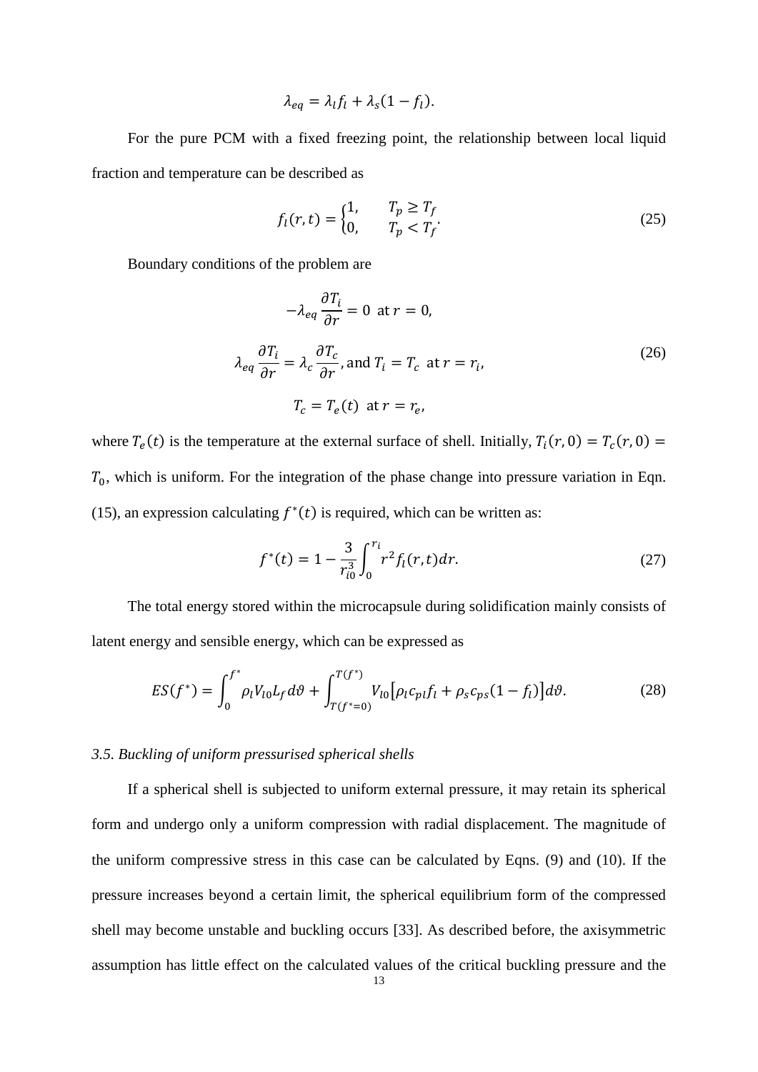$$
\lambda_{eq} = \lambda_l f_l + \lambda_s (1 - f_l).
$$

For the pure PCM with a fixed freezing point, the relationship between local liquid fraction and temperature can be described as

$$
f_l(r,t) = \begin{cases} 1, & T_p \ge T_f \\ 0, & T_p < T_f \end{cases} \tag{25}
$$

Boundary conditions of the problem are

$$
-\lambda_{eq} \frac{\partial T_i}{\partial r} = 0 \text{ at } r = 0,
$$
  

$$
\lambda_{eq} \frac{\partial T_i}{\partial r} = \lambda_c \frac{\partial T_c}{\partial r}, \text{ and } T_i = T_c \text{ at } r = r_i,
$$
  

$$
T_c = T_e(t) \text{ at } r = r_e,
$$
 (26)

where  $T_e(t)$  is the temperature at the external surface of shell. Initially,  $T_i(r, 0) = T_c(r, 0) =$  $T_0$ , which is uniform. For the integration of the phase change into pressure variation in Eqn. (15), an expression calculating  $f^*(t)$  is required, which can be written as:

$$
f^*(t) = 1 - \frac{3}{r_{i0}^3} \int_0^{r_i} r^2 f_i(r, t) dr.
$$
 (27)

The total energy stored within the microcapsule during solidification mainly consists of latent energy and sensible energy, which can be expressed as

$$
ES(f^*) = \int_0^{f^*} \rho_l V_{l0} L_f d\vartheta + \int_{T(f^*=0)}^{T(f^*)} V_{l0} [\rho_l c_{pl} f_l + \rho_s c_{ps} (1 - f_l)] d\vartheta.
$$
 (28)

#### *3.5. Buckling of uniform pressurised spherical shells*

If a spherical shell is subjected to uniform external pressure, it may retain its spherical form and undergo only a uniform compression with radial displacement. The magnitude of the uniform compressive stress in this case can be calculated by Eqns. (9) and (10). If the pressure increases beyond a certain limit, the spherical equilibrium form of the compressed shell may become unstable and buckling occurs [33]. As described before, the axisymmetric assumption has little effect on the calculated values of the critical buckling pressure and the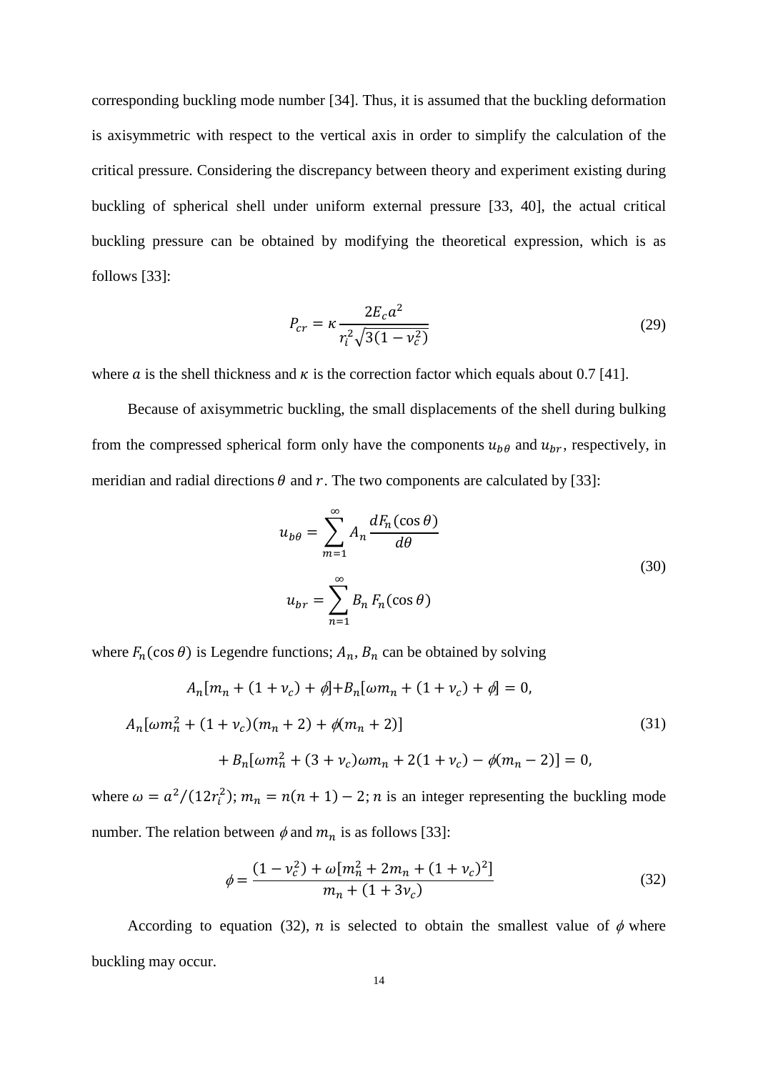corresponding buckling mode number [34]. Thus, it is assumed that the buckling deformation is axisymmetric with respect to the vertical axis in order to simplify the calculation of the critical pressure. Considering the discrepancy between theory and experiment existing during buckling of spherical shell under uniform external pressure [33, 40], the actual critical buckling pressure can be obtained by modifying the theoretical expression, which is as follows [33]:

$$
P_{cr} = \kappa \frac{2E_c a^2}{r_i^2 \sqrt{3(1 - v_c^2)}}
$$
(29)

where *a* is the shell thickness and  $\kappa$  is the correction factor which equals about 0.7 [41].

Because of axisymmetric buckling, the small displacements of the shell during bulking from the compressed spherical form only have the components  $u_{b\theta}$  and  $u_{br}$ , respectively, in meridian and radial directions  $\theta$  and  $r$ . The two components are calculated by [33]:

$$
u_{b\theta} = \sum_{m=1}^{\infty} A_n \frac{dF_n(\cos \theta)}{d\theta}
$$
  

$$
u_{br} = \sum_{n=1}^{\infty} B_n F_n(\cos \theta)
$$
 (30)

where  $F_n(\cos \theta)$  is Legendre functions;  $A_n$ ,  $B_n$  can be obtained by solving

$$
A_n[m_n + (1 + v_c) + \phi] + B_n[\omega m_n + (1 + v_c) + \phi] = 0,
$$
  

$$
A_n[\omega m_n^2 + (1 + v_c)(m_n + 2) + \phi(m_n + 2)]
$$
  

$$
+ B_n[\omega m_n^2 + (3 + v_c)\omega m_n + 2(1 + v_c) - \phi(m_n - 2)] = 0,
$$
  
(31)

where  $\omega = a^2/(12r_i^2)$ ;  $m_n = n(n + 1) - 2$ ; *n* is an integer representing the buckling mode number. The relation between  $\phi$  and  $m_n$  is as follows [33]:

$$
\phi = \frac{(1 - v_c^2) + \omega [m_n^2 + 2m_n + (1 + v_c)^2]}{m_n + (1 + 3v_c)}
$$
(32)

According to equation (32), *n* is selected to obtain the smallest value of  $\phi$  where buckling may occur.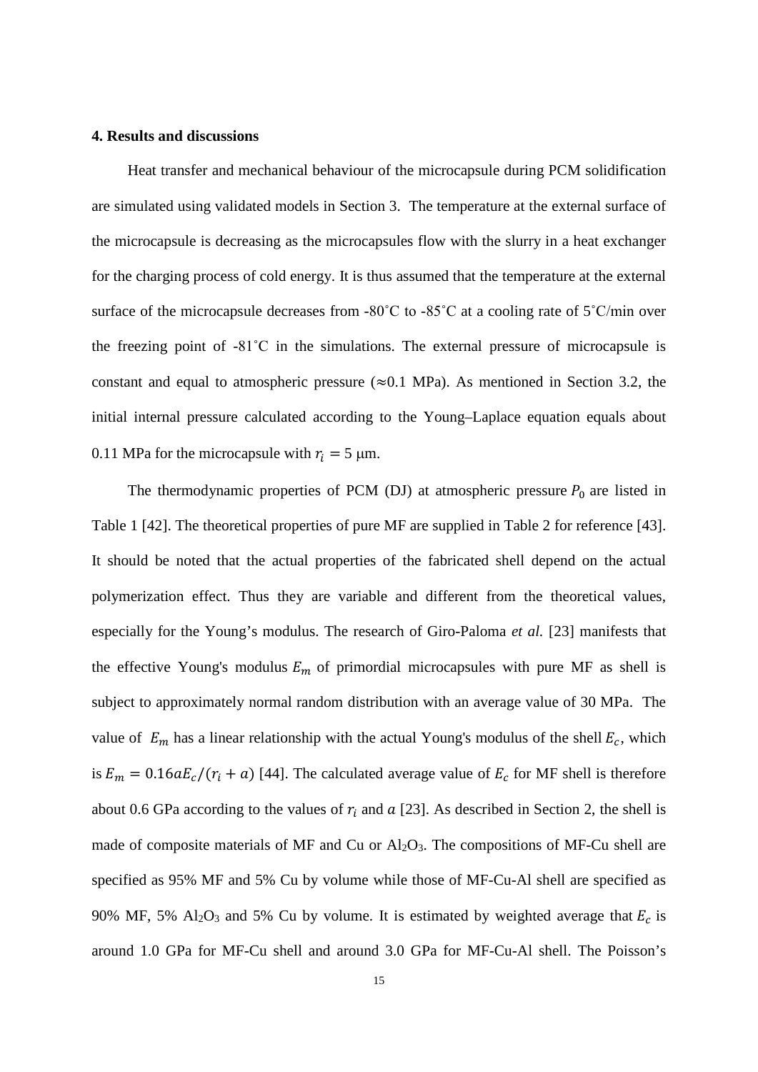#### **4. Results and discussions**

Heat transfer and mechanical behaviour of the microcapsule during PCM solidification are simulated using validated models in Section 3. The temperature at the external surface of the microcapsule is decreasing as the microcapsules flow with the slurry in a heat exchanger for the charging process of cold energy. It is thus assumed that the temperature at the external surface of the microcapsule decreases from -80˚C to -85˚C at a cooling rate of 5˚C/min over the freezing point of -81˚C in the simulations. The external pressure of microcapsule is constant and equal to atmospheric pressure ( $\approx 0.1$  MPa). As mentioned in Section 3.2, the initial internal pressure calculated according to the Young–Laplace equation equals about 0.11 MPa for the microcapsule with  $r_i = 5 \mu m$ .

The thermodynamic properties of PCM (DJ) at atmospheric pressure  $P_0$  are listed in Table 1 [42]. The theoretical properties of pure MF are supplied in Table 2 for reference [43]. It should be noted that the actual properties of the fabricated shell depend on the actual polymerization effect. Thus they are variable and different from the theoretical values, especially for the Young's modulus. The research of Giro-Paloma *et al.* [23] manifests that the effective Young's modulus  $E_m$  of primordial microcapsules with pure MF as shell is subject to approximately normal random distribution with an average value of 30 MPa. The value of  $E_m$  has a linear relationship with the actual Young's modulus of the shell  $E_c$ , which is  $E_m = 0.16aE_c/(r_i + a)$  [44]. The calculated average value of  $E_c$  for MF shell is therefore about 0.6 GPa according to the values of  $r_i$  and  $\alpha$  [23]. As described in Section 2, the shell is made of composite materials of MF and Cu or  $Al_2O_3$ . The compositions of MF-Cu shell are specified as 95% MF and 5% Cu by volume while those of MF-Cu-Al shell are specified as 90% MF, 5% Al<sub>2</sub>O<sub>3</sub> and 5% Cu by volume. It is estimated by weighted average that  $E_c$  is around 1.0 GPa for MF-Cu shell and around 3.0 GPa for MF-Cu-Al shell. The Poisson's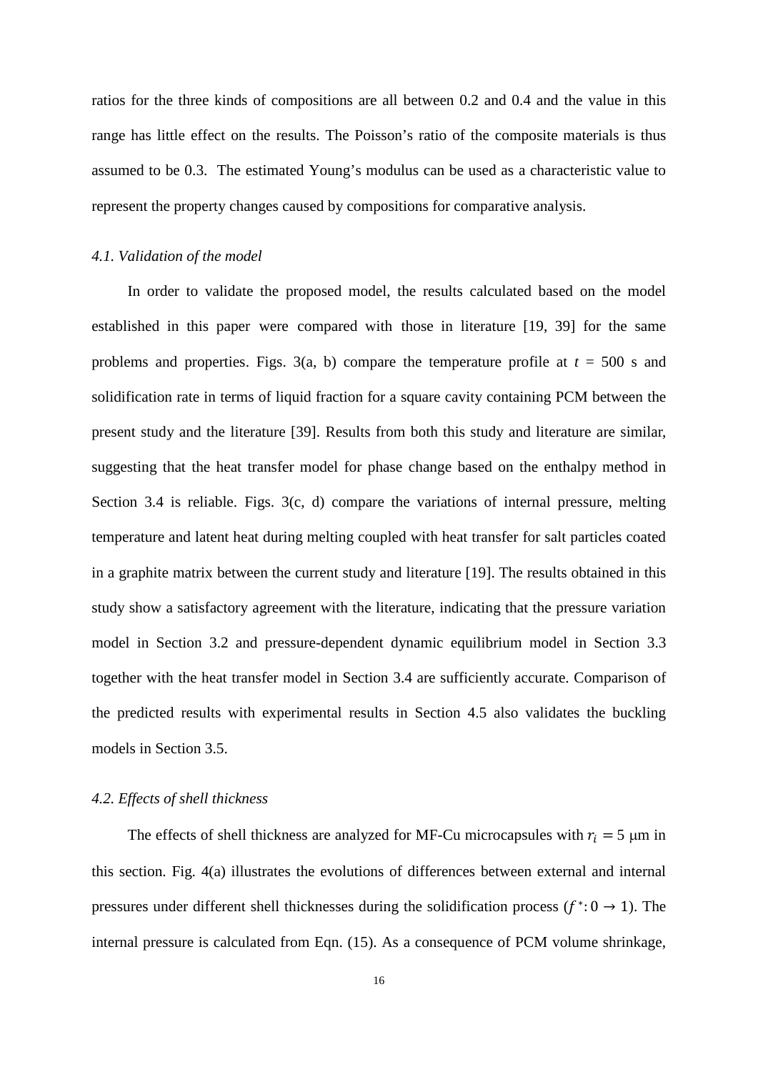ratios for the three kinds of compositions are all between 0.2 and 0.4 and the value in this range has little effect on the results. The Poisson's ratio of the composite materials is thus assumed to be 0.3. The estimated Young's modulus can be used as a characteristic value to represent the property changes caused by compositions for comparative analysis.

#### *4.1. Validation of the model*

In order to validate the proposed model, the results calculated based on the model established in this paper were compared with those in literature [19, 39] for the same problems and properties. Figs.  $3(a, b)$  compare the temperature profile at  $t = 500$  s and solidification rate in terms of liquid fraction for a square cavity containing PCM between the present study and the literature [39]. Results from both this study and literature are similar, suggesting that the heat transfer model for phase change based on the enthalpy method in Section 3.4 is reliable. Figs. 3(c, d) compare the variations of internal pressure, melting temperature and latent heat during melting coupled with heat transfer for salt particles coated in a graphite matrix between the current study and literature [19]. The results obtained in this study show a satisfactory agreement with the literature, indicating that the pressure variation model in Section 3.2 and pressure-dependent dynamic equilibrium model in Section 3.3 together with the heat transfer model in Section 3.4 are sufficiently accurate. Comparison of the predicted results with experimental results in Section 4.5 also validates the buckling models in Section 3.5.

#### *4.2. Effects of shell thickness*

The effects of shell thickness are analyzed for MF-Cu microcapsules with  $r_i = 5 \mu m$  in this section. Fig. 4(a) illustrates the evolutions of differences between external and internal pressures under different shell thicknesses during the solidification process ( $f^*$ : 0 → 1). The internal pressure is calculated from Eqn. (15). As a consequence of PCM volume shrinkage,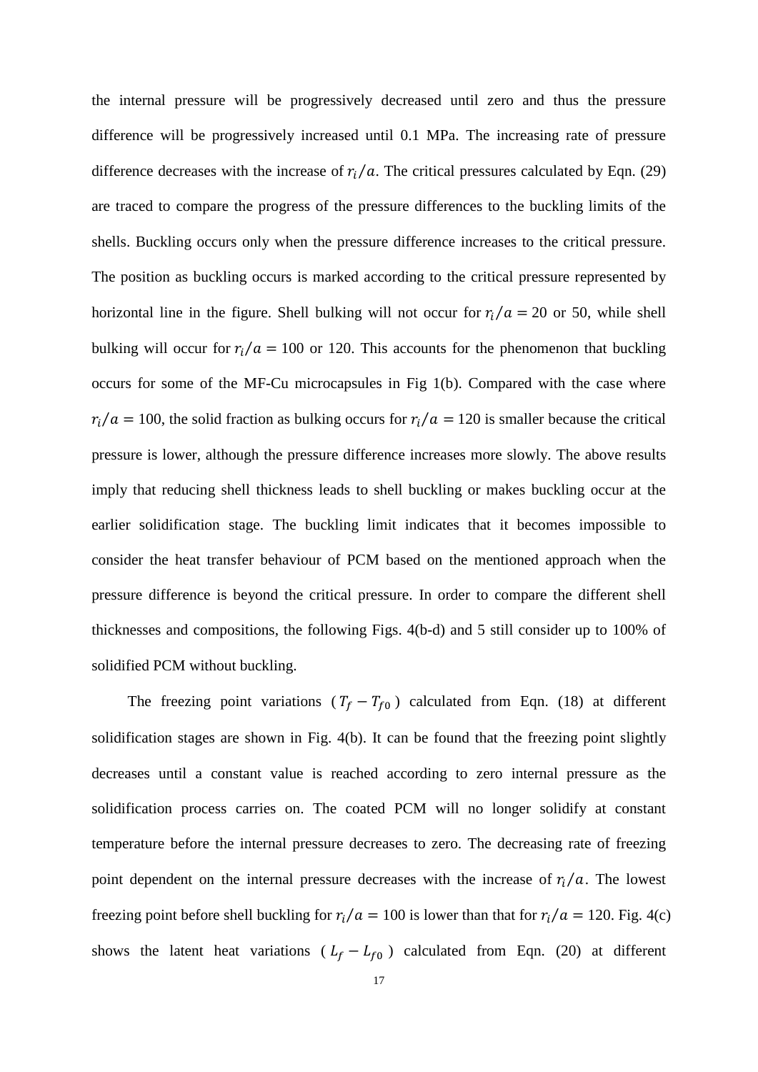the internal pressure will be progressively decreased until zero and thus the pressure difference will be progressively increased until 0.1 MPa. The increasing rate of pressure difference decreases with the increase of  $r_i/a$ . The critical pressures calculated by Eqn. (29) are traced to compare the progress of the pressure differences to the buckling limits of the shells. Buckling occurs only when the pressure difference increases to the critical pressure. The position as buckling occurs is marked according to the critical pressure represented by horizontal line in the figure. Shell bulking will not occur for  $r_i/a = 20$  or 50, while shell bulking will occur for  $r_i/a = 100$  or 120. This accounts for the phenomenon that buckling occurs for some of the MF-Cu microcapsules in Fig 1(b). Compared with the case where  $r_i/a = 100$ , the solid fraction as bulking occurs for  $r_i/a = 120$  is smaller because the critical pressure is lower, although the pressure difference increases more slowly. The above results imply that reducing shell thickness leads to shell buckling or makes buckling occur at the earlier solidification stage. The buckling limit indicates that it becomes impossible to consider the heat transfer behaviour of PCM based on the mentioned approach when the pressure difference is beyond the critical pressure. In order to compare the different shell thicknesses and compositions, the following Figs. 4(b-d) and 5 still consider up to 100% of solidified PCM without buckling.

The freezing point variations ( $T_f - T_{f0}$ ) calculated from Eqn. (18) at different solidification stages are shown in Fig. 4(b). It can be found that the freezing point slightly decreases until a constant value is reached according to zero internal pressure as the solidification process carries on. The coated PCM will no longer solidify at constant temperature before the internal pressure decreases to zero. The decreasing rate of freezing point dependent on the internal pressure decreases with the increase of  $r_i/a$ . The lowest freezing point before shell buckling for  $r_i/a = 100$  is lower than that for  $r_i/a = 120$ . Fig. 4(c) shows the latent heat variations ( $L_f - L_{f0}$ ) calculated from Eqn. (20) at different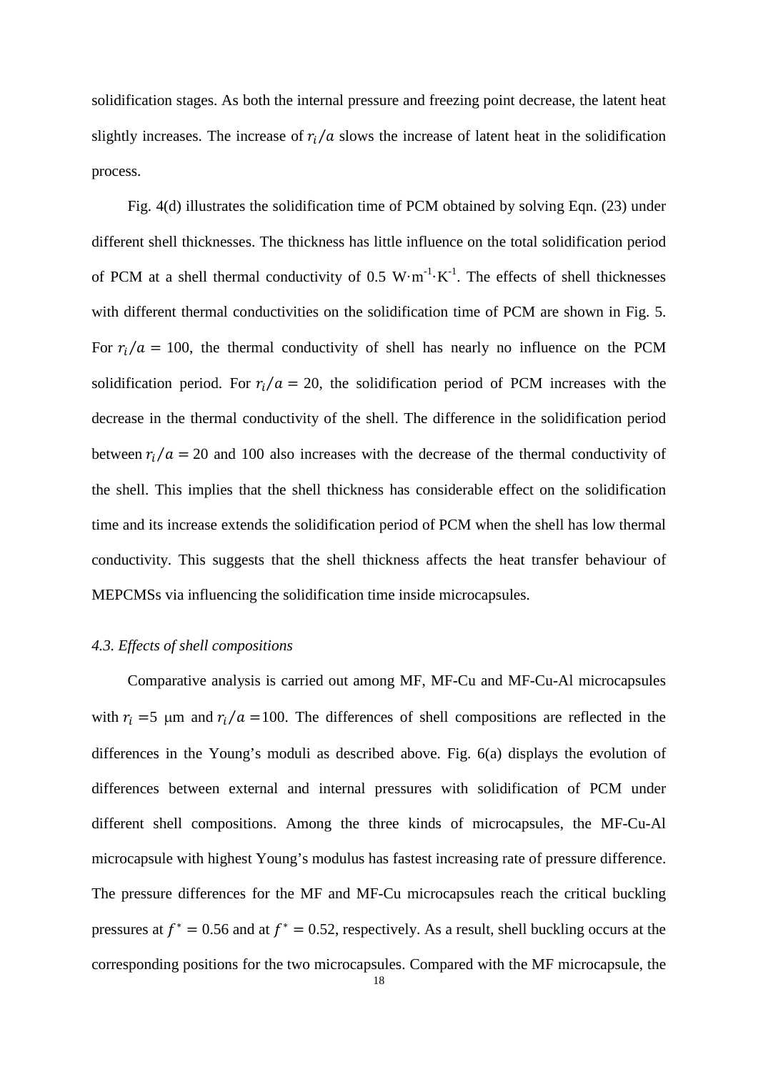solidification stages. As both the internal pressure and freezing point decrease, the latent heat slightly increases. The increase of  $r_i/a$  slows the increase of latent heat in the solidification process.

Fig. 4(d) illustrates the solidification time of PCM obtained by solving Eqn. (23) under different shell thicknesses. The thickness has little influence on the total solidification period of PCM at a shell thermal conductivity of 0.5  $W \cdot m^{-1} \cdot K^{-1}$ . The effects of shell thicknesses with different thermal conductivities on the solidification time of PCM are shown in Fig. 5. For  $r_i/a = 100$ , the thermal conductivity of shell has nearly no influence on the PCM solidification period. For  $r_i/a = 20$ , the solidification period of PCM increases with the decrease in the thermal conductivity of the shell. The difference in the solidification period between  $r_i/a = 20$  and 100 also increases with the decrease of the thermal conductivity of the shell. This implies that the shell thickness has considerable effect on the solidification time and its increase extends the solidification period of PCM when the shell has low thermal conductivity. This suggests that the shell thickness affects the heat transfer behaviour of MEPCMSs via influencing the solidification time inside microcapsules.

#### *4.3. Effects of shell compositions*

Comparative analysis is carried out among MF, MF-Cu and MF-Cu-Al microcapsules with  $r_i = 5$  µm and  $r_i/a = 100$ . The differences of shell compositions are reflected in the differences in the Young's moduli as described above. Fig. 6(a) displays the evolution of differences between external and internal pressures with solidification of PCM under different shell compositions. Among the three kinds of microcapsules, the MF-Cu-Al microcapsule with highest Young's modulus has fastest increasing rate of pressure difference. The pressure differences for the MF and MF-Cu microcapsules reach the critical buckling pressures at  $f^* = 0.56$  and at  $f^* = 0.52$ , respectively. As a result, shell buckling occurs at the corresponding positions for the two microcapsules. Compared with the MF microcapsule, the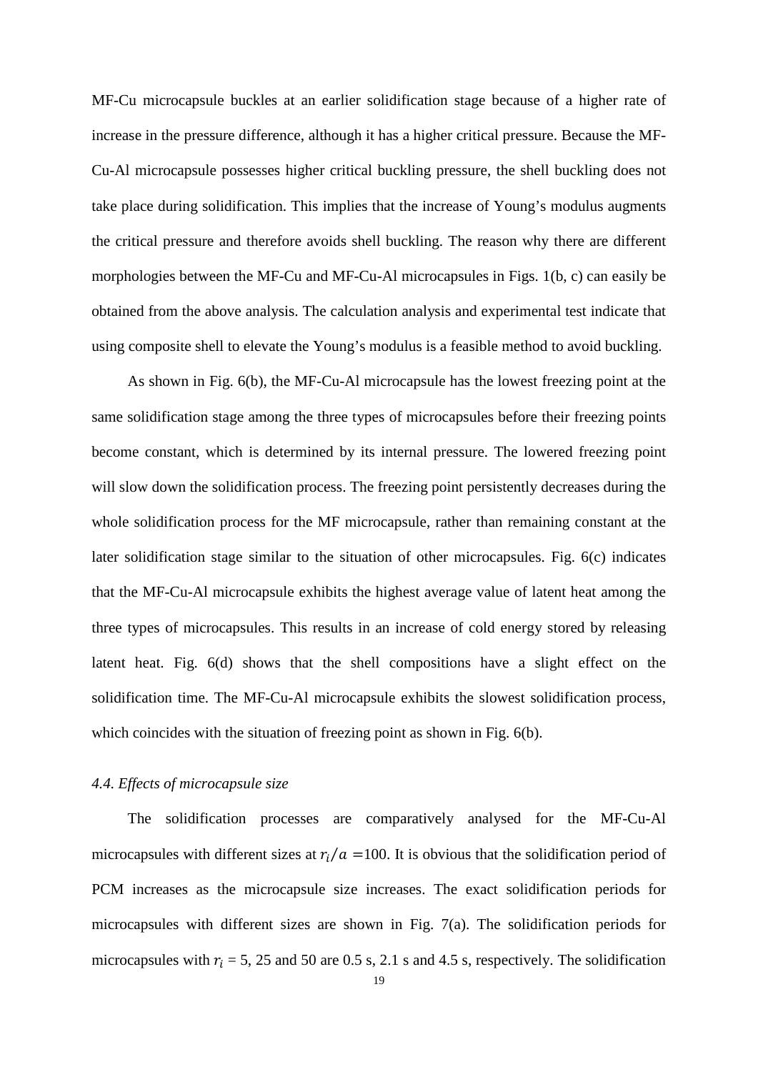MF-Cu microcapsule buckles at an earlier solidification stage because of a higher rate of increase in the pressure difference, although it has a higher critical pressure. Because the MF-Cu-Al microcapsule possesses higher critical buckling pressure, the shell buckling does not take place during solidification. This implies that the increase of Young's modulus augments the critical pressure and therefore avoids shell buckling. The reason why there are different morphologies between the MF-Cu and MF-Cu-Al microcapsules in Figs. 1(b, c) can easily be obtained from the above analysis. The calculation analysis and experimental test indicate that using composite shell to elevate the Young's modulus is a feasible method to avoid buckling.

As shown in Fig. 6(b), the MF-Cu-Al microcapsule has the lowest freezing point at the same solidification stage among the three types of microcapsules before their freezing points become constant, which is determined by its internal pressure. The lowered freezing point will slow down the solidification process. The freezing point persistently decreases during the whole solidification process for the MF microcapsule, rather than remaining constant at the later solidification stage similar to the situation of other microcapsules. Fig. 6(c) indicates that the MF-Cu-Al microcapsule exhibits the highest average value of latent heat among the three types of microcapsules. This results in an increase of cold energy stored by releasing latent heat. Fig. 6(d) shows that the shell compositions have a slight effect on the solidification time. The MF-Cu-Al microcapsule exhibits the slowest solidification process, which coincides with the situation of freezing point as shown in Fig. 6(b).

#### *4.4. Effects of microcapsule size*

The solidification processes are comparatively analysed for the MF-Cu-Al microcapsules with different sizes at  $r_i/a = 100$ . It is obvious that the solidification period of PCM increases as the microcapsule size increases. The exact solidification periods for microcapsules with different sizes are shown in Fig. 7(a). The solidification periods for microcapsules with  $r_i = 5$ , 25 and 50 are 0.5 s, 2.1 s and 4.5 s, respectively. The solidification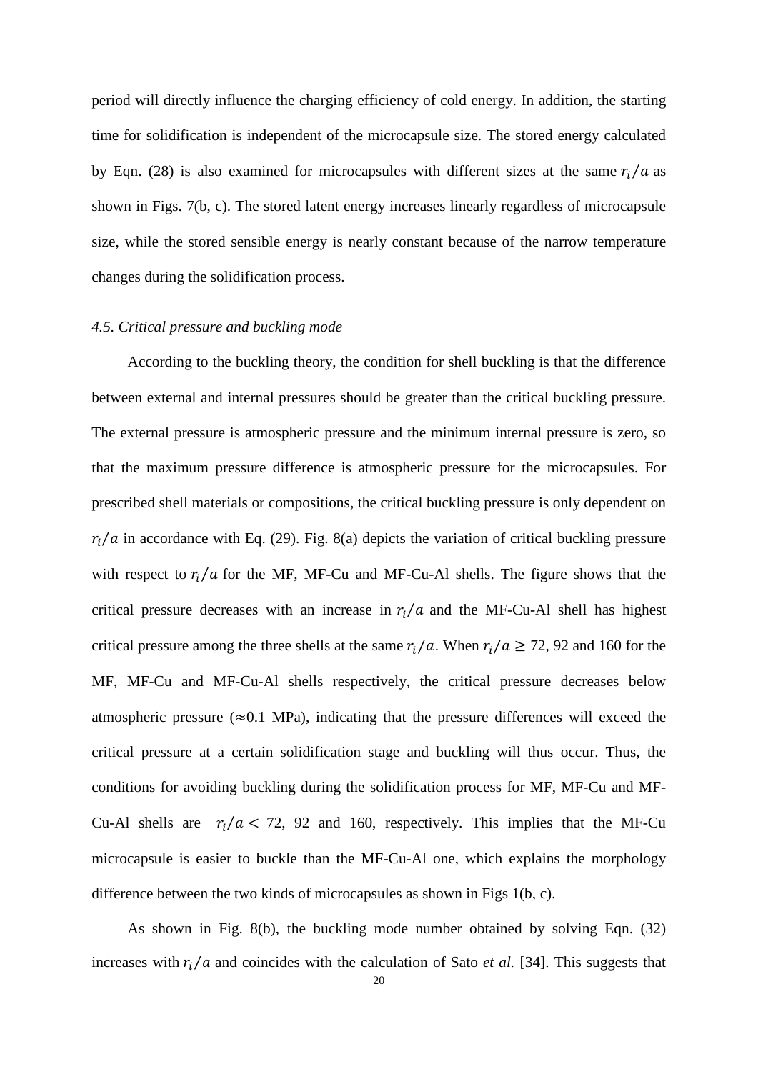period will directly influence the charging efficiency of cold energy. In addition, the starting time for solidification is independent of the microcapsule size. The stored energy calculated by Eqn. (28) is also examined for microcapsules with different sizes at the same  $r_i/a$  as shown in Figs. 7(b, c). The stored latent energy increases linearly regardless of microcapsule size, while the stored sensible energy is nearly constant because of the narrow temperature changes during the solidification process.

#### *4.5. Critical pressure and buckling mode*

According to the buckling theory, the condition for shell buckling is that the difference between external and internal pressures should be greater than the critical buckling pressure. The external pressure is atmospheric pressure and the minimum internal pressure is zero, so that the maximum pressure difference is atmospheric pressure for the microcapsules. For prescribed shell materials or compositions, the critical buckling pressure is only dependent on  $r_i/a$  in accordance with Eq. (29). Fig. 8(a) depicts the variation of critical buckling pressure with respect to  $r_i/a$  for the MF, MF-Cu and MF-Cu-Al shells. The figure shows that the critical pressure decreases with an increase in  $r_i/a$  and the MF-Cu-Al shell has highest critical pressure among the three shells at the same  $r_i/a$ . When  $r_i/a \ge 72$ , 92 and 160 for the MF, MF-Cu and MF-Cu-Al shells respectively, the critical pressure decreases below atmospheric pressure ( $\approx 0.1$  MPa), indicating that the pressure differences will exceed the critical pressure at a certain solidification stage and buckling will thus occur. Thus, the conditions for avoiding buckling during the solidification process for MF, MF-Cu and MF-Cu-Al shells are  $r_i/a < 72$ , 92 and 160, respectively. This implies that the MF-Cu microcapsule is easier to buckle than the MF-Cu-Al one, which explains the morphology difference between the two kinds of microcapsules as shown in Figs 1(b, c).

As shown in Fig. 8(b), the buckling mode number obtained by solving Eqn.  $(32)$ increases with  $r_i/a$  and coincides with the calculation of Sato *et al.* [34]. This suggests that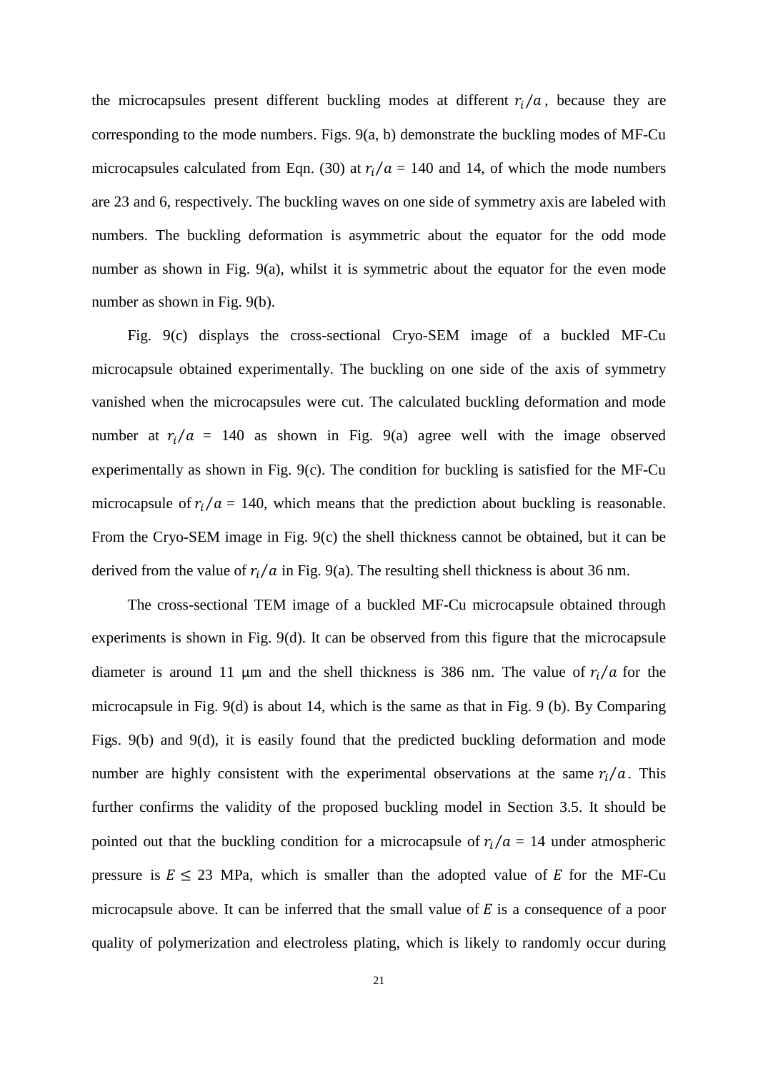the microcapsules present different buckling modes at different  $r_i/a$ , because they are corresponding to the mode numbers. Figs. 9(a, b) demonstrate the buckling modes of MF-Cu microcapsules calculated from Eqn. (30) at  $r_i/a = 140$  and 14, of which the mode numbers are 23 and 6, respectively. The buckling waves on one side of symmetry axis are labeled with numbers. The buckling deformation is asymmetric about the equator for the odd mode number as shown in Fig. 9(a), whilst it is symmetric about the equator for the even mode number as shown in Fig. 9(b).

Fig. 9(c) displays the cross-sectional Cryo-SEM image of a buckled MF-Cu microcapsule obtained experimentally. The buckling on one side of the axis of symmetry vanished when the microcapsules were cut. The calculated buckling deformation and mode number at  $r_i/a = 140$  as shown in Fig. 9(a) agree well with the image observed experimentally as shown in Fig. 9(c). The condition for buckling is satisfied for the MF-Cu microcapsule of  $r_i/a = 140$ , which means that the prediction about buckling is reasonable. From the Cryo-SEM image in Fig. 9(c) the shell thickness cannot be obtained, but it can be derived from the value of  $r_i/a$  in Fig. 9(a). The resulting shell thickness is about 36 nm.

The cross-sectional TEM image of a buckled MF-Cu microcapsule obtained through experiments is shown in Fig. 9(d). It can be observed from this figure that the microcapsule diameter is around 11 µm and the shell thickness is 386 nm. The value of  $r_i/a$  for the microcapsule in Fig. 9(d) is about 14, which is the same as that in Fig. 9 (b). By Comparing Figs. 9(b) and 9(d), it is easily found that the predicted buckling deformation and mode number are highly consistent with the experimental observations at the same  $r_i/a$ . This further confirms the validity of the proposed buckling model in Section 3.5. It should be pointed out that the buckling condition for a microcapsule of  $r_i/a = 14$  under atmospheric pressure is  $E \le 23$  MPa, which is smaller than the adopted value of E for the MF-Cu microcapsule above. It can be inferred that the small value of  $E$  is a consequence of a poor quality of polymerization and electroless plating, which is likely to randomly occur during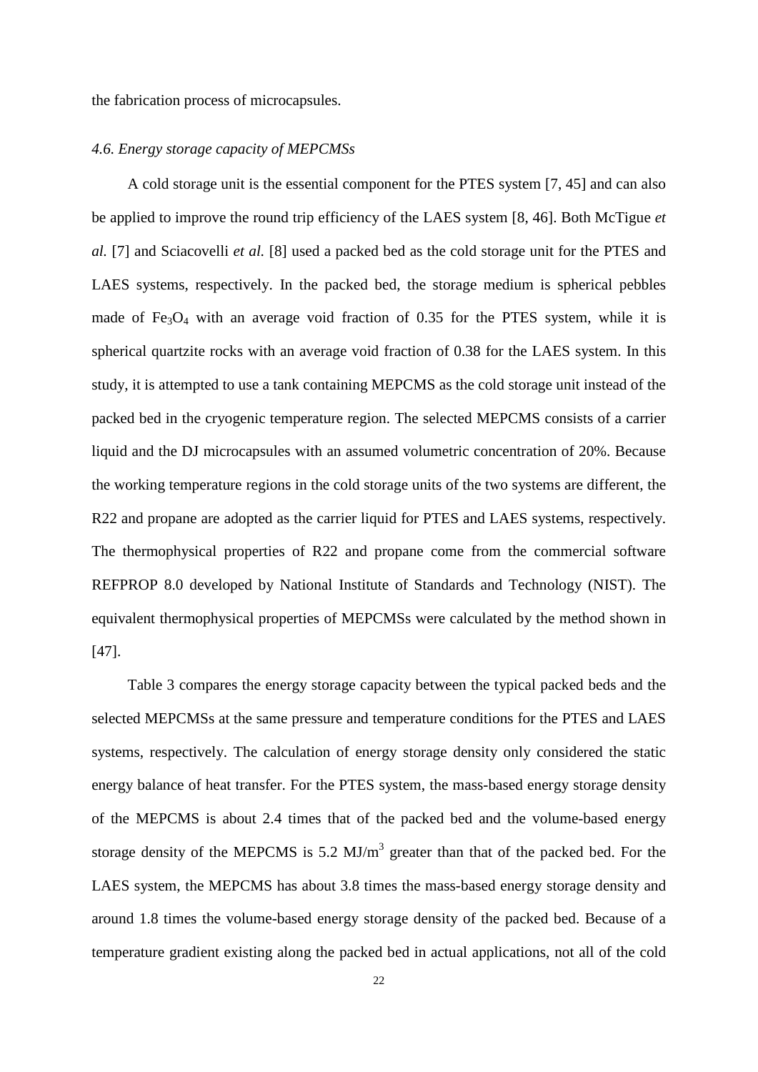the fabrication process of microcapsules.

### *4.6. Energy storage capacity of MEPCMSs*

A cold storage unit is the essential component for the PTES system [7, 45] and can also be applied to improve the round trip efficiency of the LAES system [8, 46]. Both McTigue *et al.* [7] and Sciacovelli *et al.* [8] used a packed bed as the cold storage unit for the PTES and LAES systems, respectively. In the packed bed, the storage medium is spherical pebbles made of  $Fe<sub>3</sub>O<sub>4</sub>$  with an average void fraction of 0.35 for the PTES system, while it is spherical quartzite rocks with an average void fraction of 0.38 for the LAES system. In this study, it is attempted to use a tank containing MEPCMS as the cold storage unit instead of the packed bed in the cryogenic temperature region. The selected MEPCMS consists of a carrier liquid and the DJ microcapsules with an assumed volumetric concentration of 20%. Because the working temperature regions in the cold storage units of the two systems are different, the R22 and propane are adopted as the carrier liquid for PTES and LAES systems, respectively. The thermophysical properties of R22 and propane come from the commercial software REFPROP 8.0 developed by National Institute of Standards and Technology (NIST). The equivalent thermophysical properties of MEPCMSs were calculated by the method shown in [47].

Table 3 compares the energy storage capacity between the typical packed beds and the selected MEPCMSs at the same pressure and temperature conditions for the PTES and LAES systems, respectively. The calculation of energy storage density only considered the static energy balance of heat transfer. For the PTES system, the mass-based energy storage density of the MEPCMS is about 2.4 times that of the packed bed and the volume-based energy storage density of the MEPCMS is  $5.2 \text{ MJ/m}^3$  greater than that of the packed bed. For the LAES system, the MEPCMS has about 3.8 times the mass-based energy storage density and around 1.8 times the volume-based energy storage density of the packed bed. Because of a temperature gradient existing along the packed bed in actual applications, not all of the cold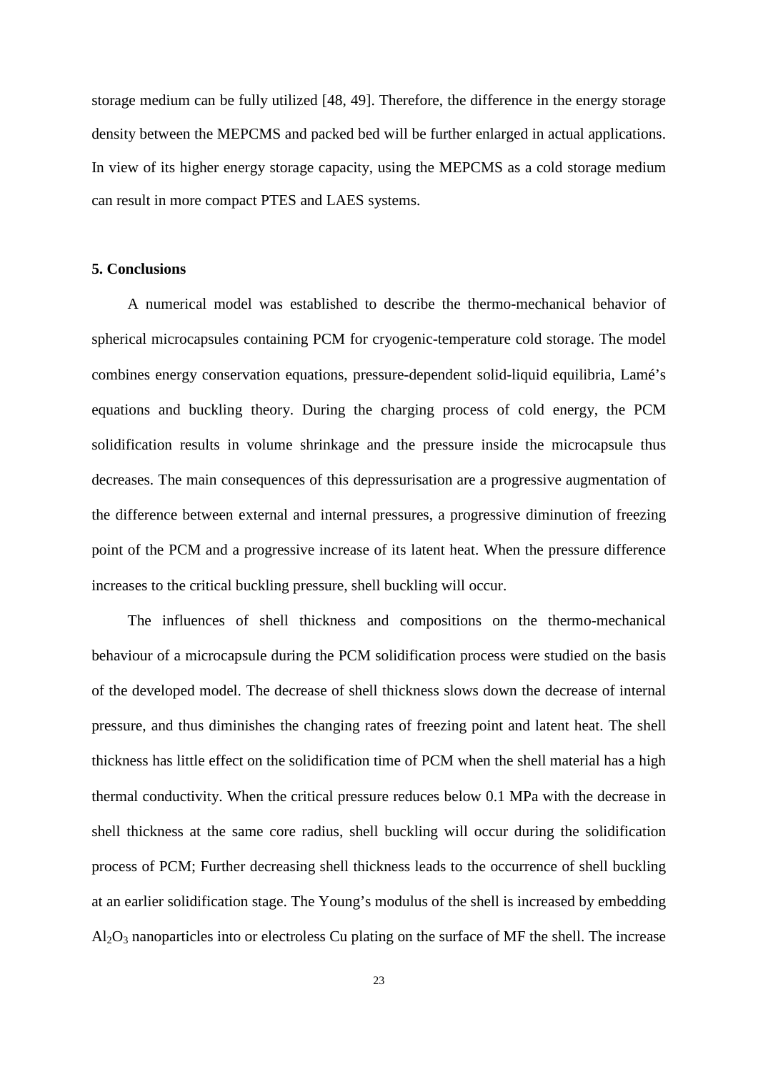storage medium can be fully utilized [48, 49]. Therefore, the difference in the energy storage density between the MEPCMS and packed bed will be further enlarged in actual applications. In view of its higher energy storage capacity, using the MEPCMS as a cold storage medium can result in more compact PTES and LAES systems.

#### **5. Conclusions**

A numerical model was established to describe the thermo-mechanical behavior of spherical microcapsules containing PCM for cryogenic-temperature cold storage. The model combines energy conservation equations, pressure-dependent solid-liquid equilibria, Lamé's equations and buckling theory. During the charging process of cold energy, the PCM solidification results in volume shrinkage and the pressure inside the microcapsule thus decreases. The main consequences of this depressurisation are a progressive augmentation of the difference between external and internal pressures, a progressive diminution of freezing point of the PCM and a progressive increase of its latent heat. When the pressure difference increases to the critical buckling pressure, shell buckling will occur.

The influences of shell thickness and compositions on the thermo-mechanical behaviour of a microcapsule during the PCM solidification process were studied on the basis of the developed model. The decrease of shell thickness slows down the decrease of internal pressure, and thus diminishes the changing rates of freezing point and latent heat. The shell thickness has little effect on the solidification time of PCM when the shell material has a high thermal conductivity. When the critical pressure reduces below 0.1 MPa with the decrease in shell thickness at the same core radius, shell buckling will occur during the solidification process of PCM; Further decreasing shell thickness leads to the occurrence of shell buckling at an earlier solidification stage. The Young's modulus of the shell is increased by embedding Al2O3 nanoparticles into or electroless Cu plating on the surface of MF the shell. The increase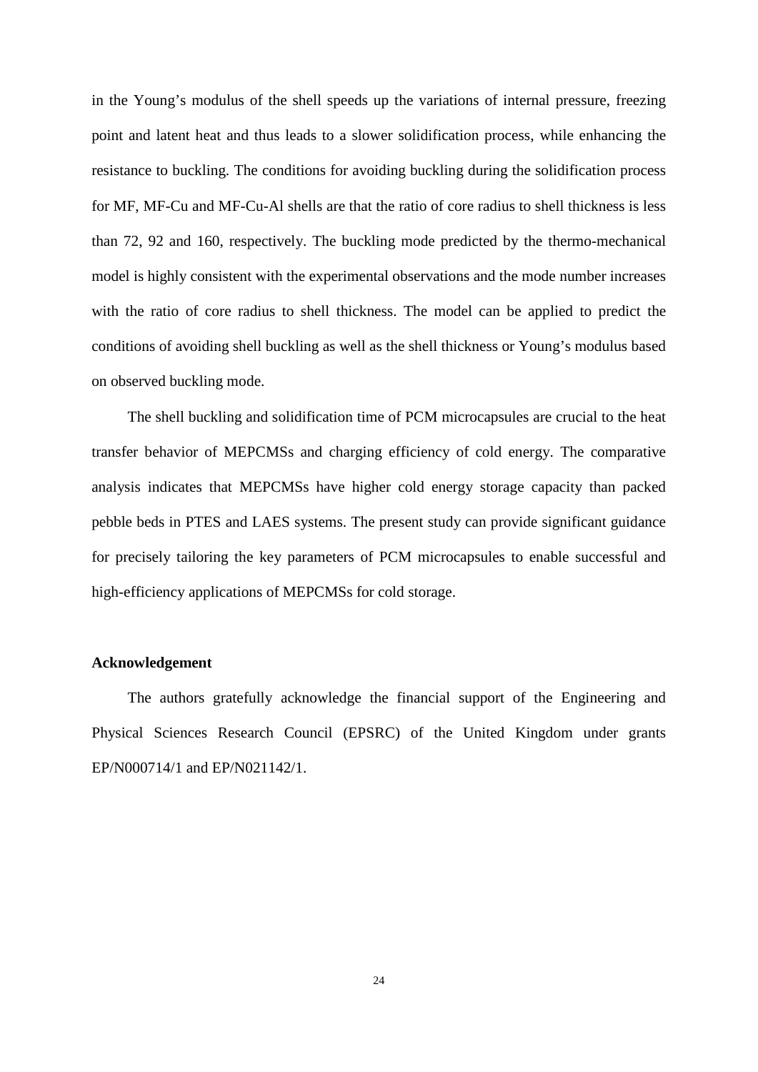in the Young's modulus of the shell speeds up the variations of internal pressure, freezing point and latent heat and thus leads to a slower solidification process, while enhancing the resistance to buckling. The conditions for avoiding buckling during the solidification process for MF, MF-Cu and MF-Cu-Al shells are that the ratio of core radius to shell thickness is less than 72, 92 and 160, respectively. The buckling mode predicted by the thermo-mechanical model is highly consistent with the experimental observations and the mode number increases with the ratio of core radius to shell thickness. The model can be applied to predict the conditions of avoiding shell buckling as well as the shell thickness or Young's modulus based on observed buckling mode.

The shell buckling and solidification time of PCM microcapsules are crucial to the heat transfer behavior of MEPCMSs and charging efficiency of cold energy. The comparative analysis indicates that MEPCMSs have higher cold energy storage capacity than packed pebble beds in PTES and LAES systems. The present study can provide significant guidance for precisely tailoring the key parameters of PCM microcapsules to enable successful and high-efficiency applications of MEPCMSs for cold storage.

## **Acknowledgement**

The authors gratefully acknowledge the financial support of the Engineering and Physical Sciences Research Council (EPSRC) of the United Kingdom under grants EP/N000714/1 and EP/N021142/1.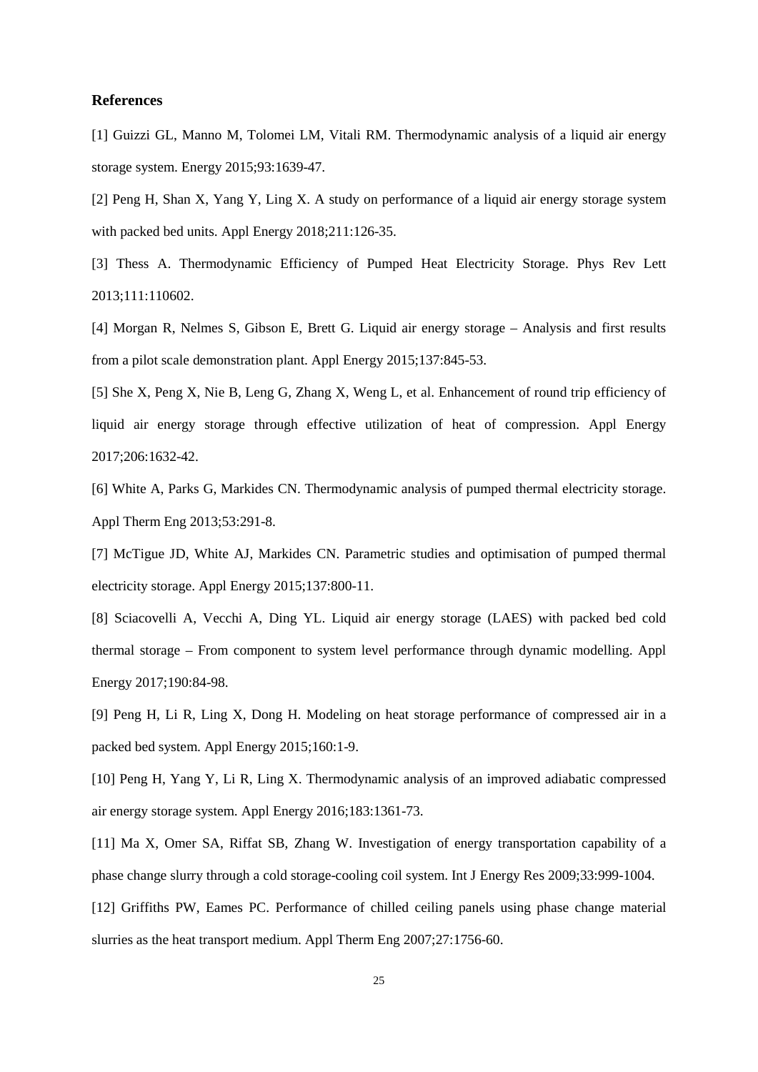#### **References**

[1] Guizzi GL, Manno M, Tolomei LM, Vitali RM. Thermodynamic analysis of a liquid air energy storage system. Energy 2015;93:1639-47.

[2] Peng H, Shan X, Yang Y, Ling X. A study on performance of a liquid air energy storage system with packed bed units. Appl Energy 2018:211:126-35.

[3] Thess A. Thermodynamic Efficiency of Pumped Heat Electricity Storage. Phys Rev Lett 2013;111:110602.

[4] Morgan R, Nelmes S, Gibson E, Brett G. Liquid air energy storage – Analysis and first results from a pilot scale demonstration plant. Appl Energy 2015;137:845-53.

[5] She X, Peng X, Nie B, Leng G, Zhang X, Weng L, et al. Enhancement of round trip efficiency of liquid air energy storage through effective utilization of heat of compression. Appl Energy 2017;206:1632-42.

[6] White A, Parks G, Markides CN. Thermodynamic analysis of pumped thermal electricity storage. Appl Therm Eng 2013;53:291-8.

[7] McTigue JD, White AJ, Markides CN. Parametric studies and optimisation of pumped thermal electricity storage. Appl Energy 2015;137:800-11.

[8] Sciacovelli A, Vecchi A, Ding YL. Liquid air energy storage (LAES) with packed bed cold thermal storage – From component to system level performance through dynamic modelling. Appl Energy 2017;190:84-98.

[9] Peng H, Li R, Ling X, Dong H. Modeling on heat storage performance of compressed air in a packed bed system. Appl Energy 2015;160:1-9.

[10] Peng H, Yang Y, Li R, Ling X. Thermodynamic analysis of an improved adiabatic compressed air energy storage system. Appl Energy 2016;183:1361-73.

[11] Ma X, Omer SA, Riffat SB, Zhang W. Investigation of energy transportation capability of a phase change slurry through a cold storage-cooling coil system. Int J Energy Res 2009;33:999-1004.

[12] Griffiths PW, Eames PC. Performance of chilled ceiling panels using phase change material slurries as the heat transport medium. Appl Therm Eng 2007;27:1756-60.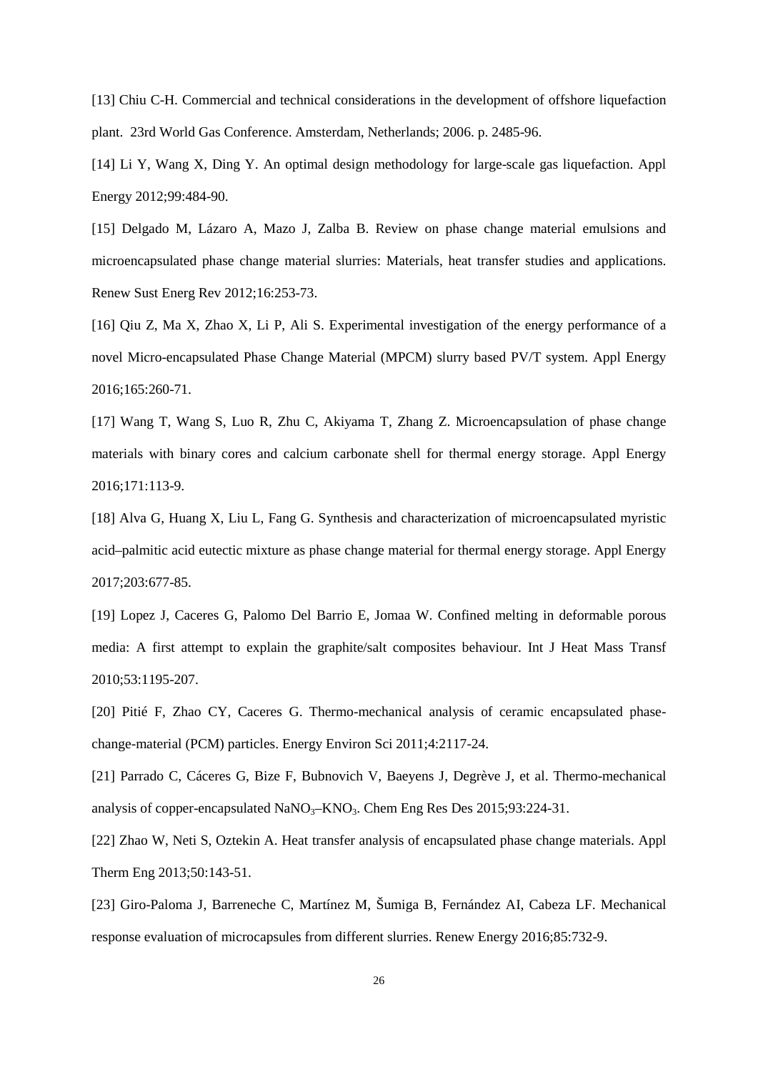[13] Chiu C-H. Commercial and technical considerations in the development of offshore liquefaction plant. 23rd World Gas Conference. Amsterdam, Netherlands; 2006. p. 2485-96.

[14] Li Y, Wang X, Ding Y. An optimal design methodology for large-scale gas liquefaction. Appl Energy 2012;99:484-90.

[15] Delgado M, Lázaro A, Mazo J, Zalba B. Review on phase change material emulsions and microencapsulated phase change material slurries: Materials, heat transfer studies and applications. Renew Sust Energ Rev 2012;16:253-73.

[16] Qiu Z, Ma X, Zhao X, Li P, Ali S. Experimental investigation of the energy performance of a novel Micro-encapsulated Phase Change Material (MPCM) slurry based PV/T system. Appl Energy 2016;165:260-71.

[17] Wang T, Wang S, Luo R, Zhu C, Akiyama T, Zhang Z. Microencapsulation of phase change materials with binary cores and calcium carbonate shell for thermal energy storage. Appl Energy 2016;171:113-9.

[18] Alva G, Huang X, Liu L, Fang G. Synthesis and characterization of microencapsulated myristic acid–palmitic acid eutectic mixture as phase change material for thermal energy storage. Appl Energy 2017;203:677-85.

[19] Lopez J, Caceres G, Palomo Del Barrio E, Jomaa W. Confined melting in deformable porous media: A first attempt to explain the graphite/salt composites behaviour. Int J Heat Mass Transf 2010;53:1195-207.

[20] Pitié F, Zhao CY, Caceres G. Thermo-mechanical analysis of ceramic encapsulated phasechange-material (PCM) particles. Energy Environ Sci 2011;4:2117-24.

[21] Parrado C, Cáceres G, Bize F, Bubnovich V, Baeyens J, Degrève J, et al. Thermo-mechanical analysis of copper-encapsulated  $NaNO<sub>3</sub>–KNO<sub>3</sub>$ . Chem Eng Res Des 2015;93:224-31.

[22] Zhao W, Neti S, Oztekin A. Heat transfer analysis of encapsulated phase change materials. Appl Therm Eng 2013;50:143-51.

[23] Giro-Paloma J, Barreneche C, Martínez M, Šumiga B, Fernández AI, Cabeza LF. Mechanical response evaluation of microcapsules from different slurries. Renew Energy 2016;85:732-9.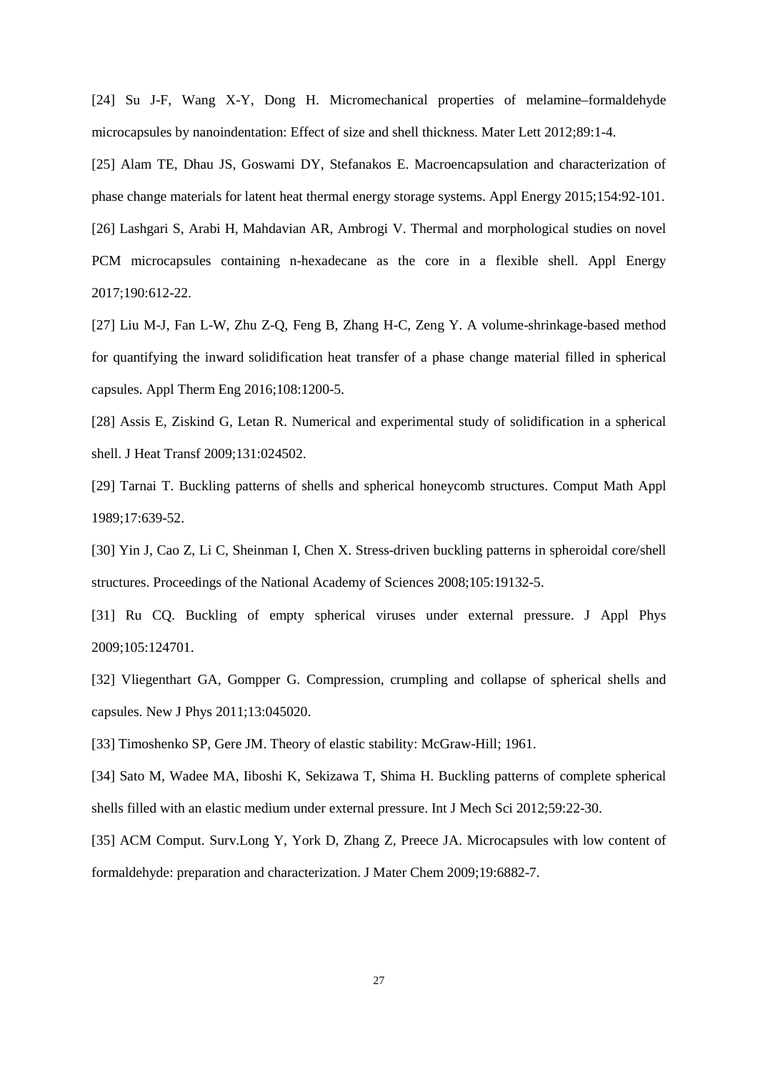[24] Su J-F, Wang X-Y, Dong H. Micromechanical properties of melamine–formaldehyde microcapsules by nanoindentation: Effect of size and shell thickness. Mater Lett 2012;89:1-4.

[25] Alam TE, Dhau JS, Goswami DY, Stefanakos E. Macroencapsulation and characterization of phase change materials for latent heat thermal energy storage systems. Appl Energy 2015;154:92-101. [26] Lashgari S, Arabi H, Mahdavian AR, Ambrogi V. Thermal and morphological studies on novel PCM microcapsules containing n-hexadecane as the core in a flexible shell. Appl Energy 2017;190:612-22.

[27] Liu M-J, Fan L-W, Zhu Z-Q, Feng B, Zhang H-C, Zeng Y. A volume-shrinkage-based method for quantifying the inward solidification heat transfer of a phase change material filled in spherical capsules. Appl Therm Eng 2016;108:1200-5.

[28] Assis E, Ziskind G, Letan R. Numerical and experimental study of solidification in a spherical shell. J Heat Transf 2009;131:024502.

[29] Tarnai T. Buckling patterns of shells and spherical honeycomb structures. Comput Math Appl 1989;17:639-52.

[30] Yin J, Cao Z, Li C, Sheinman I, Chen X. Stress-driven buckling patterns in spheroidal core/shell structures. Proceedings of the National Academy of Sciences 2008;105:19132-5.

[31] Ru CQ. Buckling of empty spherical viruses under external pressure. J Appl Phys 2009;105:124701.

[32] Vliegenthart GA, Gompper G. Compression, crumpling and collapse of spherical shells and capsules. New J Phys 2011;13:045020.

[33] Timoshenko SP, Gere JM. Theory of elastic stability: McGraw-Hill; 1961.

[34] Sato M, Wadee MA, Iiboshi K, Sekizawa T, Shima H. Buckling patterns of complete spherical shells filled with an elastic medium under external pressure. Int J Mech Sci 2012;59:22-30.

[35] ACM Comput. Surv.Long Y, York D, Zhang Z, Preece JA. Microcapsules with low content of formaldehyde: preparation and characterization. J Mater Chem 2009;19:6882-7.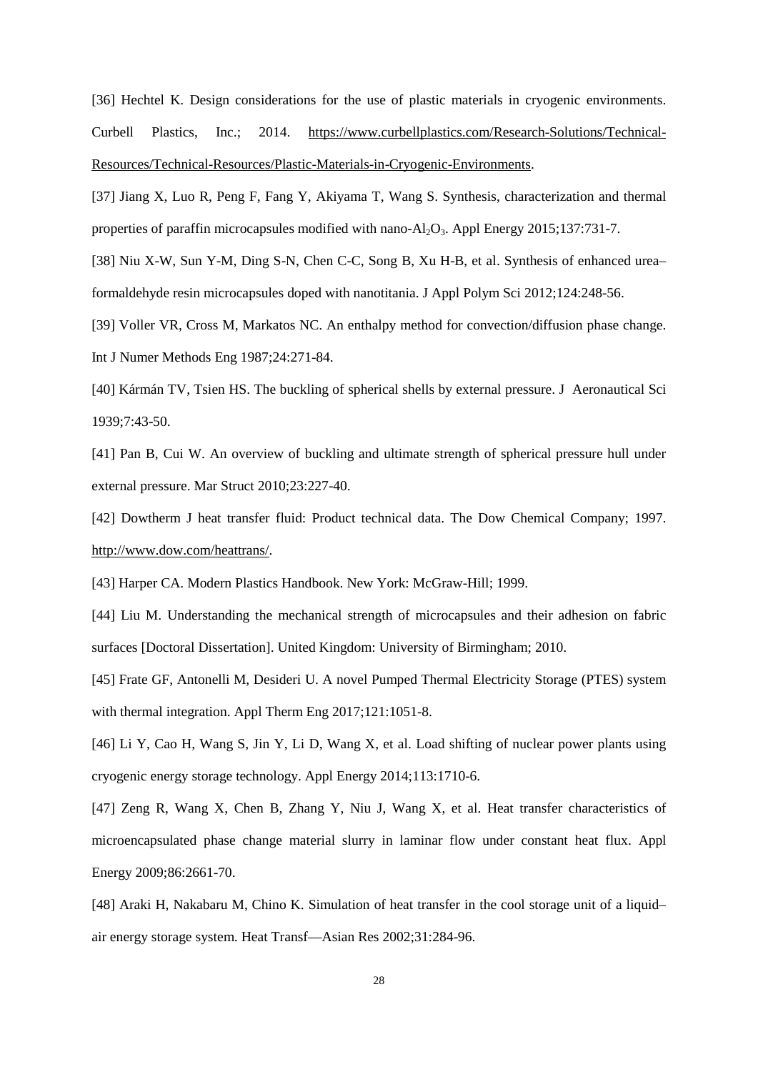[36] Hechtel K. Design considerations for the use of plastic materials in cryogenic environments. Curbell Plastics, Inc.; 2014. [https://www.curbellplastics.com/Research-Solutions/Technical-](https://www.curbellplastics.com/Research-Solutions/Technical-Resources/Technical-Resources/Plastic-Materials-in-Cryogenic-Environments)[Resources/Technical-Resources/Plastic-Materials-in-Cryogenic-Environments.](https://www.curbellplastics.com/Research-Solutions/Technical-Resources/Technical-Resources/Plastic-Materials-in-Cryogenic-Environments)

[37] Jiang X, Luo R, Peng F, Fang Y, Akiyama T, Wang S. Synthesis, characterization and thermal properties of paraffin microcapsules modified with nano-Al<sub>2</sub>O<sub>3</sub>. Appl Energy 2015;137:731-7.

[38] Niu X-W, Sun Y-M, Ding S-N, Chen C-C, Song B, Xu H-B, et al. Synthesis of enhanced urea– formaldehyde resin microcapsules doped with nanotitania. J Appl Polym Sci 2012;124:248-56.

[39] Voller VR, Cross M, Markatos NC. An enthalpy method for convection/diffusion phase change. Int J Numer Methods Eng 1987;24:271-84.

[40] Kármán TV, Tsien HS. The buckling of spherical shells by external pressure. J Aeronautical Sci 1939;7:43-50.

[41] Pan B, Cui W. An overview of buckling and ultimate strength of spherical pressure hull under external pressure. Mar Struct 2010;23:227-40.

[42] Dowtherm J heat transfer fluid: Product technical data. The Dow Chemical Company; 1997. [http://www.dow.com/heattrans/.](http://www.dow.com/heattrans/)

[43] Harper CA. Modern Plastics Handbook. New York: McGraw-Hill; 1999.

[44] Liu M. Understanding the mechanical strength of microcapsules and their adhesion on fabric surfaces [Doctoral Dissertation]. United Kingdom: University of Birmingham; 2010.

[45] Frate GF, Antonelli M, Desideri U. A novel Pumped Thermal Electricity Storage (PTES) system with thermal integration. Appl Therm Eng  $2017;121:1051-8$ .

[46] Li Y, Cao H, Wang S, Jin Y, Li D, Wang X, et al. Load shifting of nuclear power plants using cryogenic energy storage technology. Appl Energy 2014;113:1710-6.

[47] Zeng R, Wang X, Chen B, Zhang Y, Niu J, Wang X, et al. Heat transfer characteristics of microencapsulated phase change material slurry in laminar flow under constant heat flux. Appl Energy 2009;86:2661-70.

[48] Araki H, Nakabaru M, Chino K. Simulation of heat transfer in the cool storage unit of a liquid– air energy storage system. Heat Transf—Asian Res 2002;31:284-96.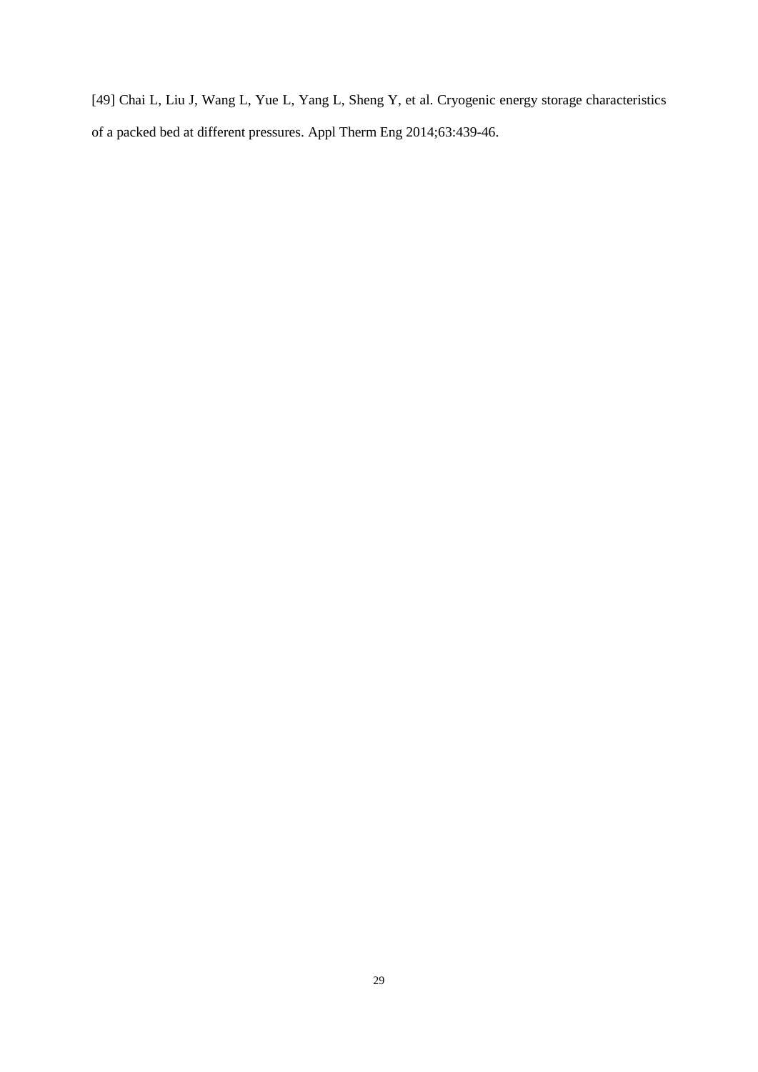[49] Chai L, Liu J, Wang L, Yue L, Yang L, Sheng Y, et al. Cryogenic energy storage characteristics of a packed bed at different pressures. Appl Therm Eng 2014;63:439-46.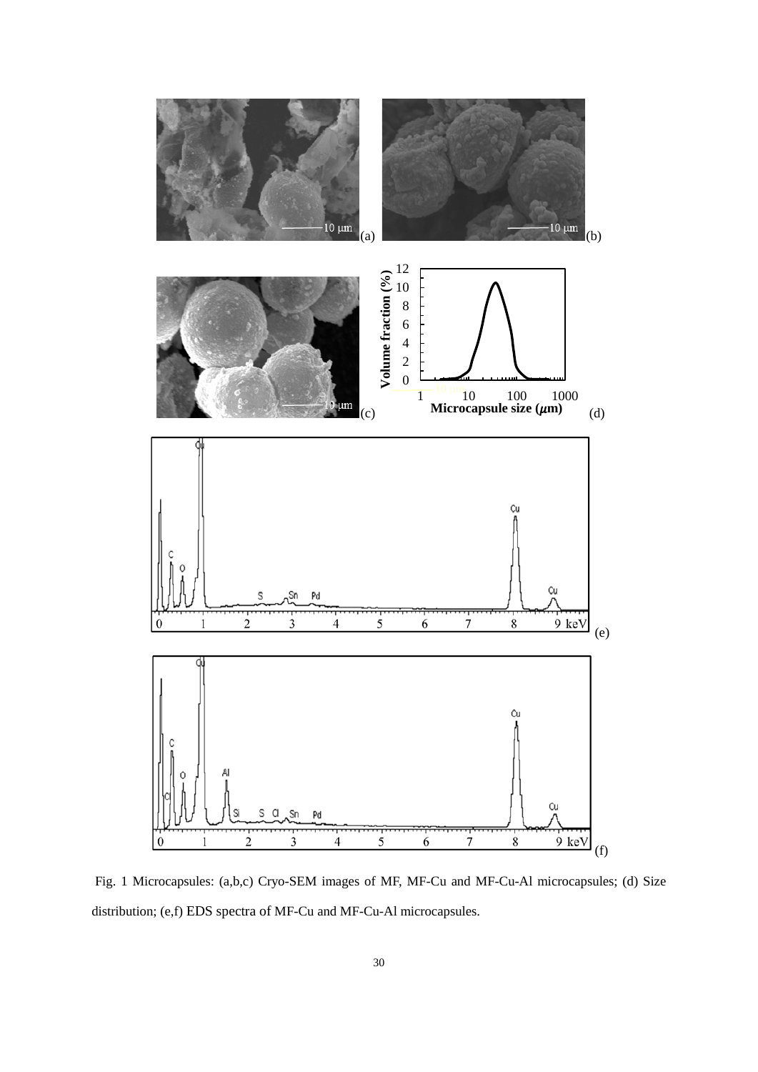

Fig. 1 Microcapsules: (a,b,c) Cryo-SEM images of MF, MF-Cu and MF-Cu-Al microcapsules; (d) Size distribution; (e,f) EDS spectra of MF-Cu and MF-Cu-Al microcapsules.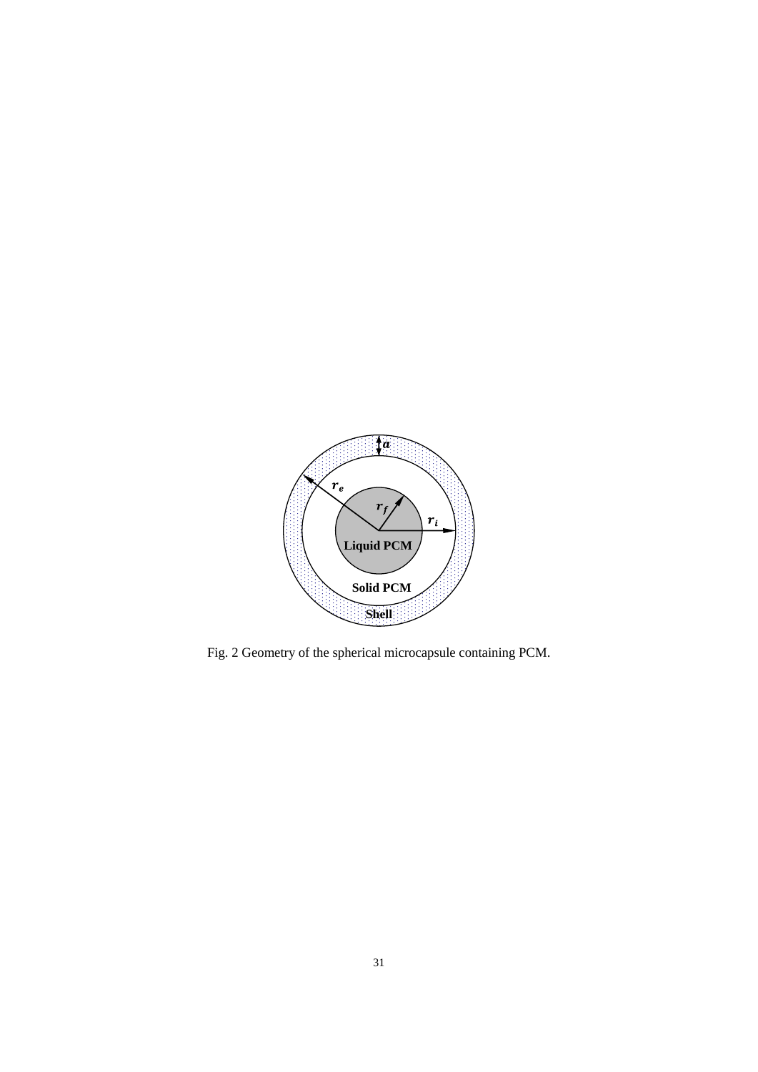

Fig. 2 Geometry of the spherical microcapsule containing PCM.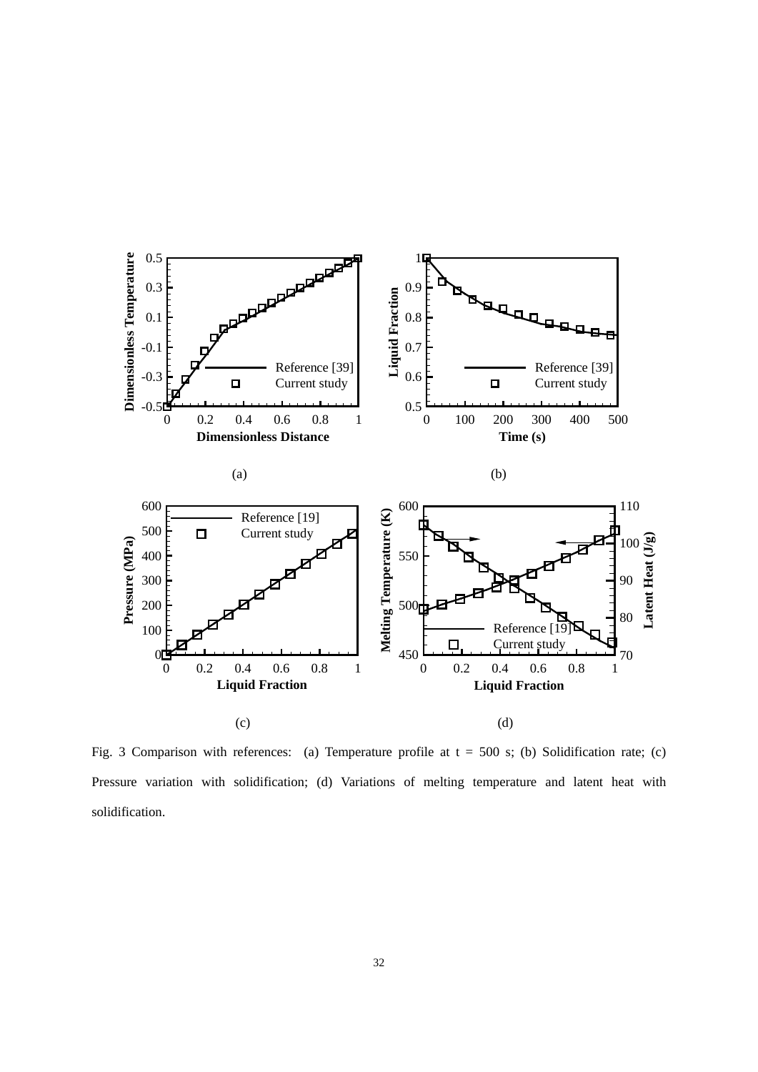

Fig. 3 Comparison with references: (a) Temperature profile at  $t = 500$  s; (b) Solidification rate; (c) Pressure variation with solidification; (d) Variations of melting temperature and latent heat with solidification.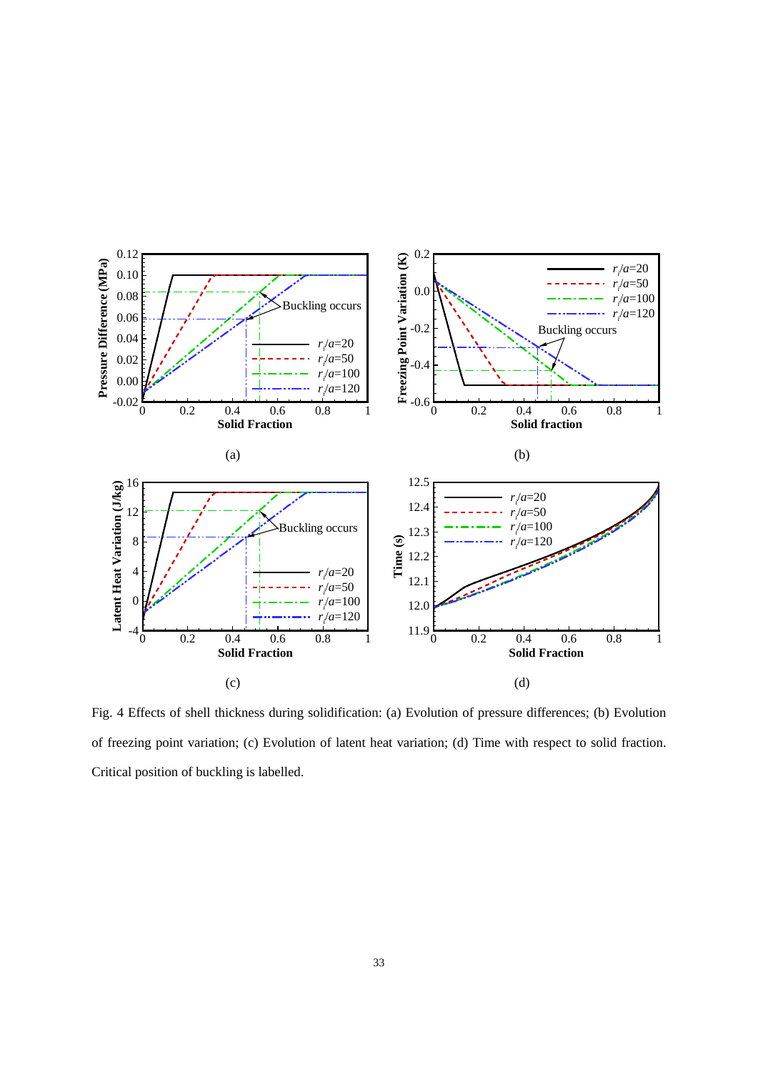

Fig. 4 Effects of shell thickness during solidification: (a) Evolution of pressure differences; (b) Evolution of freezing point variation; (c) Evolution of latent heat variation; (d) Time with respect to solid fraction. Critical position of buckling is labelled.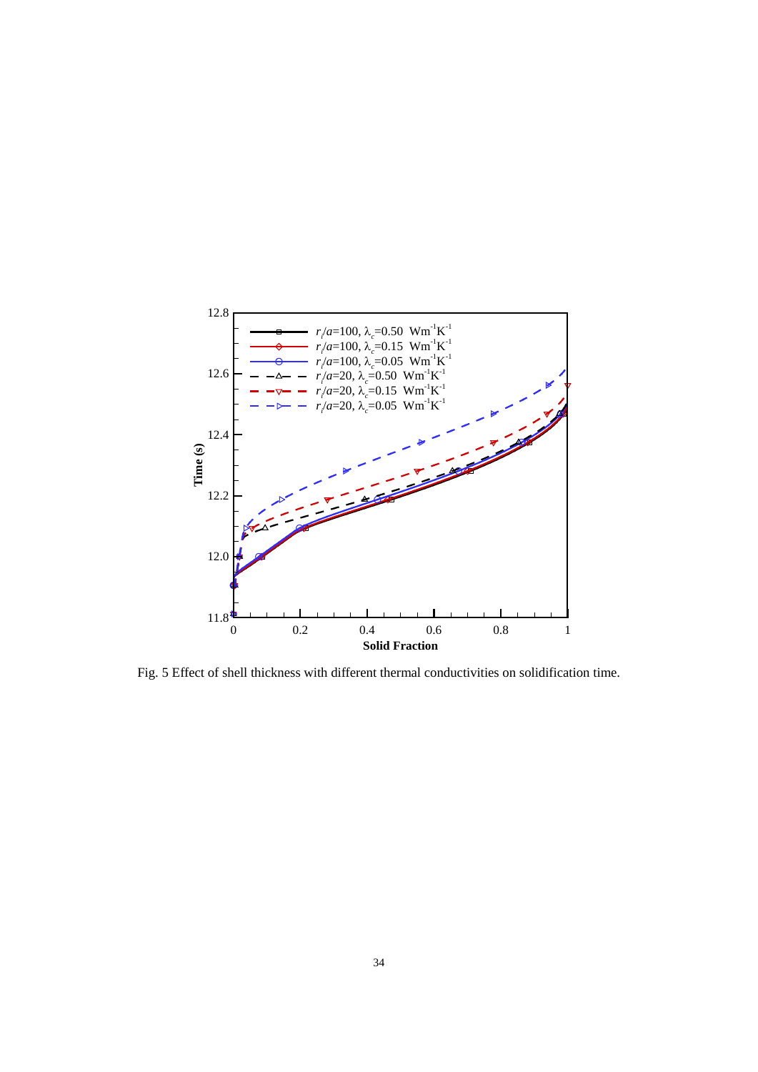

Fig. 5 Effect of shell thickness with different thermal conductivities on solidification time.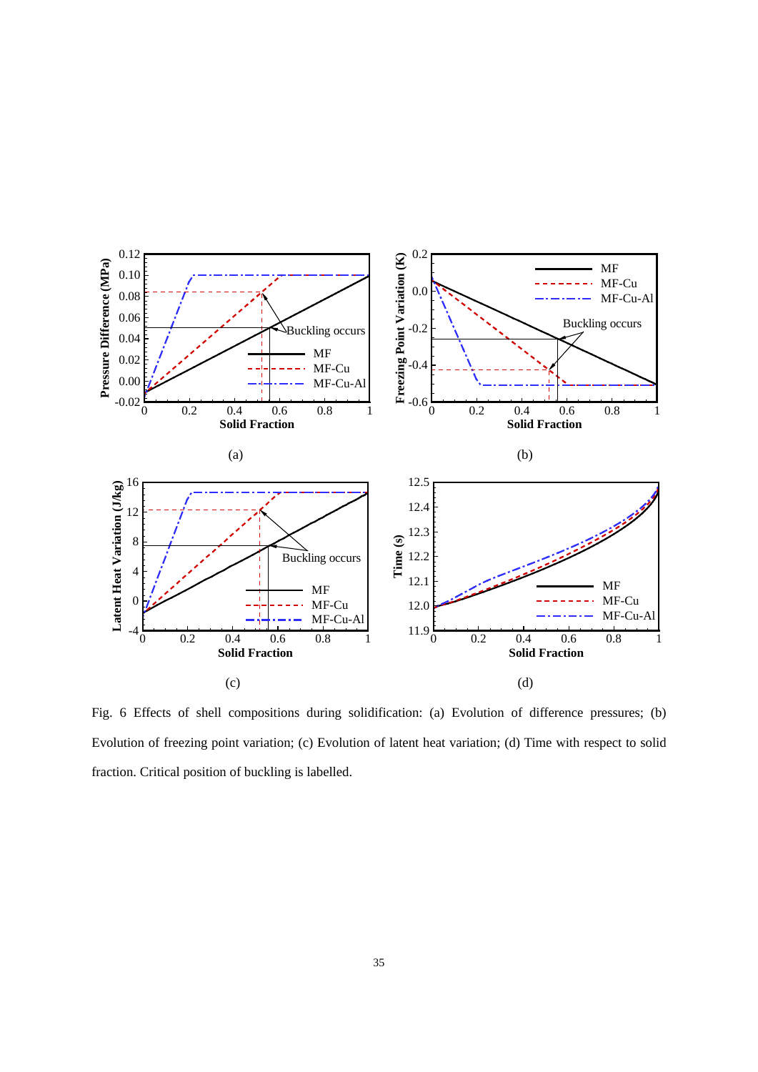

Fig. 6 Effects of shell compositions during solidification: (a) Evolution of difference pressures; (b) Evolution of freezing point variation; (c) Evolution of latent heat variation; (d) Time with respect to solid fraction. Critical position of buckling is labelled.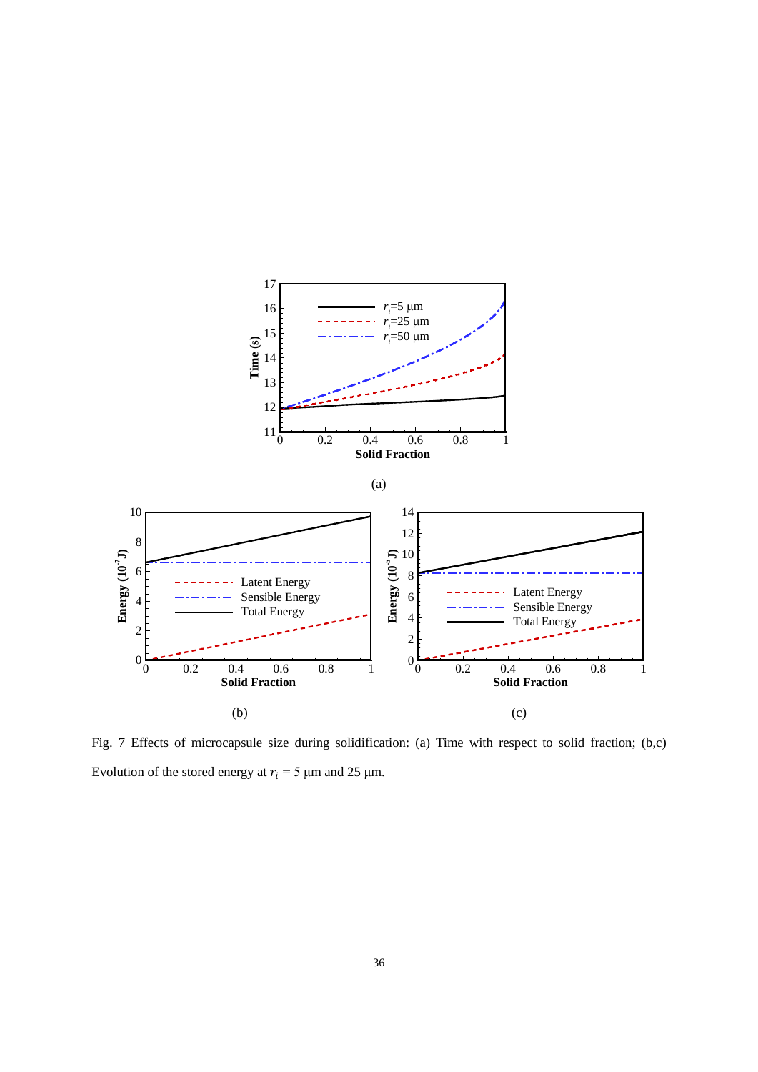

Fig. 7 Effects of microcapsule size during solidification: (a) Time with respect to solid fraction; (b,c) Evolution of the stored energy at  $r_i = 5 \mu m$  and 25  $\mu$ m.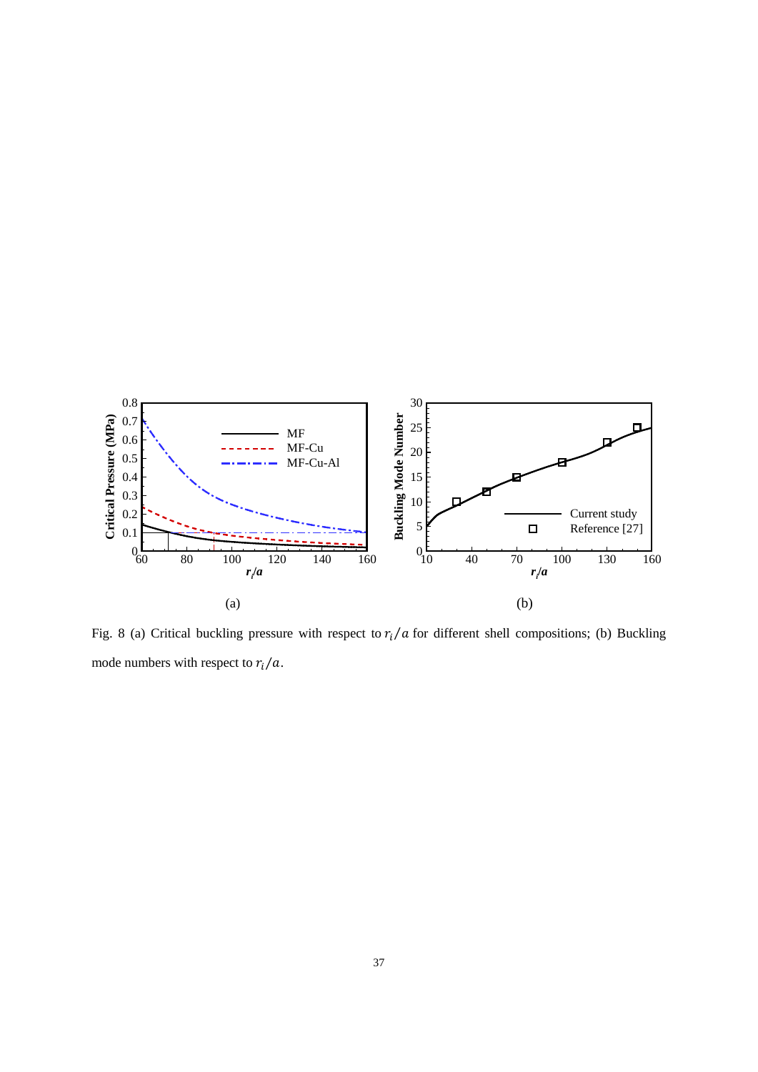

Fig. 8 (a) Critical buckling pressure with respect to  $r_i/a$  for different shell compositions; (b) Buckling mode numbers with respect to  $r_i/a$ .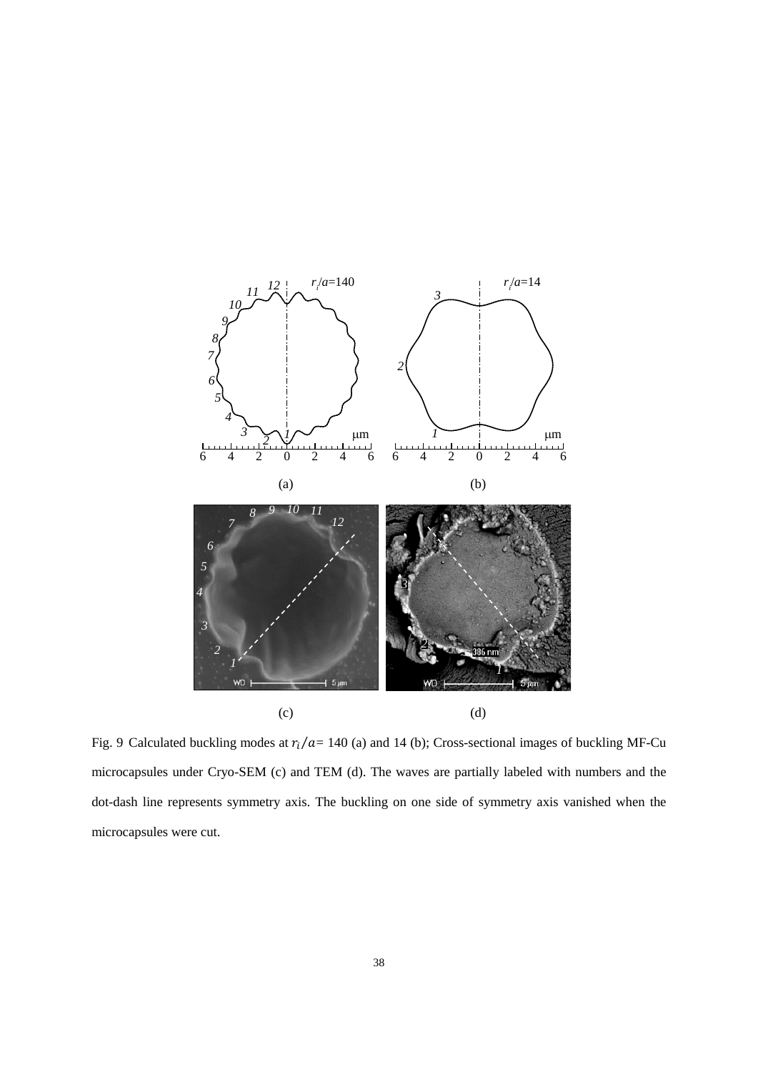

Fig. 9 Calculated buckling modes at  $r_i/a = 140$  (a) and 14 (b); Cross-sectional images of buckling MF-Cu microcapsules under Cryo-SEM (c) and TEM (d). The waves are partially labeled with numbers and the dot-dash line represents symmetry axis. The buckling on one side of symmetry axis vanished when the microcapsules were cut.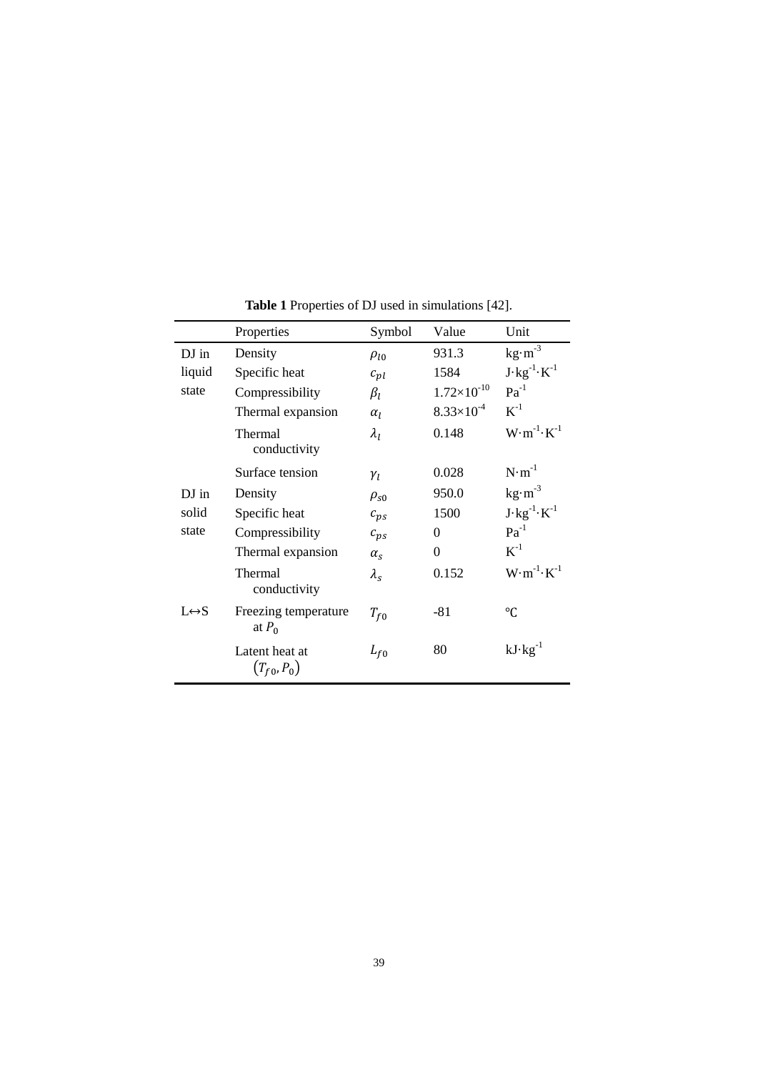|                       | Properties                        | Symbol                           | Value                 | Unit                           |
|-----------------------|-----------------------------------|----------------------------------|-----------------------|--------------------------------|
| DJ in                 | Density                           | $\rho_{l0}$                      | 931.3                 | $kg·m-3$                       |
| liquid                | Specific heat                     | $c_{pl}$                         | 1584                  | $J \cdot kg^{-1} \cdot K^{-1}$ |
| state                 | Compressibility                   | $\beta_l$                        | $1.72\times10^{-10}$  | $Pa^{-1}$                      |
|                       | Thermal expansion                 | $\alpha$ <sub>1</sub>            | $8.33 \times 10^{-4}$ | $K^{-1}$                       |
|                       | Thermal<br>conductivity           | $\lambda_I$                      | 0.148                 | $W \cdot m^{-1} \cdot K^{-1}$  |
|                       | Surface tension                   | $\gamma_l$                       | 0.028                 | $N \cdot m^{-1}$               |
| DJ in                 | Density                           | $\rho_{\rm s0}$                  | 950.0                 | $\text{kg}\cdot\text{m}^{-3}$  |
| solid                 | Specific heat                     | $c_{ps}$                         | 1500                  | $J \cdot kg^{-1} \cdot K^{-1}$ |
| state                 | Compressibility                   | $c_{ps}$                         | $\theta$              | $Pa^{-1}$                      |
|                       | Thermal expansion                 | $\alpha_{s}$                     | $\Omega$              | $K^{-1}$                       |
|                       | Thermal<br>conductivity           | $\lambda_{\scriptscriptstyle S}$ | 0.152                 | $W \cdot m^{-1} \cdot K^{-1}$  |
| $L \leftrightarrow S$ | Freezing temperature<br>at $P_0$  | $T_{f0}$                         | $-81$                 | °C                             |
|                       | Latent heat at<br>$(T_{f0}, P_0)$ | $L_{f0}$                         | 80                    | $kJ \cdot kg^{-1}$             |

**Table 1** Properties of DJ used in simulations [42].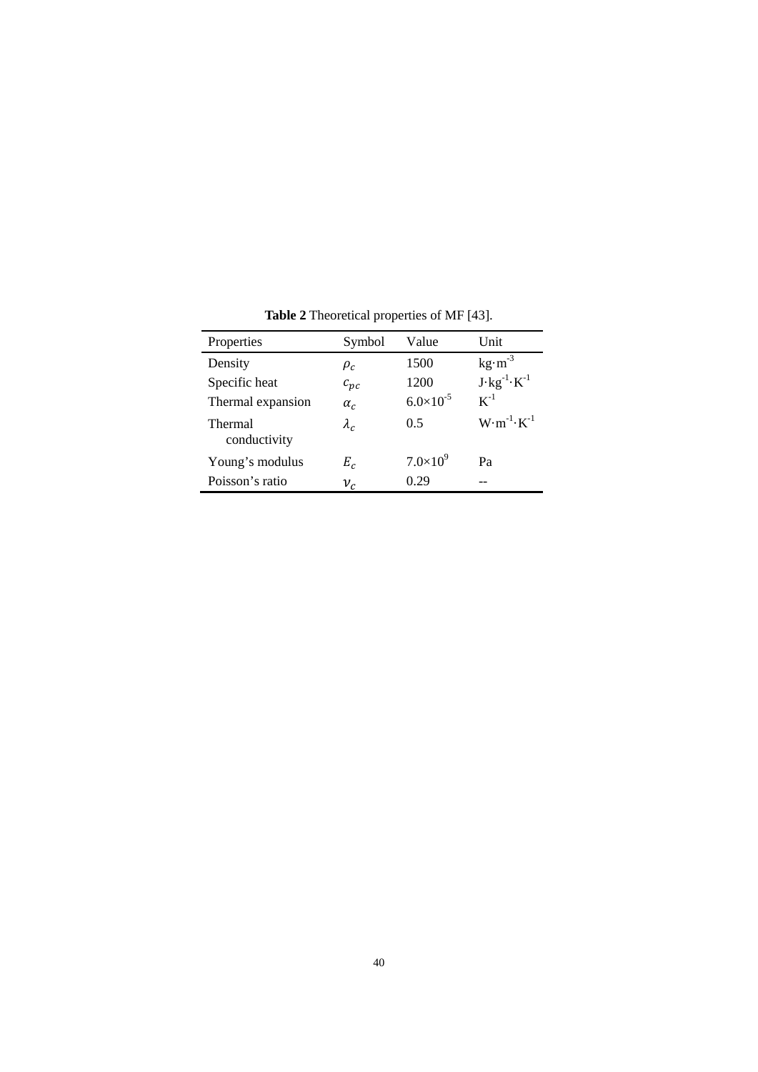| Properties              | Symbol      | Value                | Unit                           |
|-------------------------|-------------|----------------------|--------------------------------|
| Density                 | $\rho_c$    | 1500                 | $kg·m-3$                       |
| Specific heat           | $c_{pc}$    | 1200                 | $J \cdot kg^{-1} \cdot K^{-1}$ |
| Thermal expansion       | $\alpha_c$  | $6.0 \times 10^{-5}$ | $K^{-1}$                       |
| Thermal<br>conductivity | $\lambda_c$ | 0.5                  | $W \cdot m^{-1} \cdot K^{-1}$  |
| Young's modulus         | $E_c$       | $7.0\times10^{9}$    | Pa                             |
| Poisson's ratio         | $\nu_c$     | 0.29                 |                                |

**Table 2** Theoretical properties of MF [43].